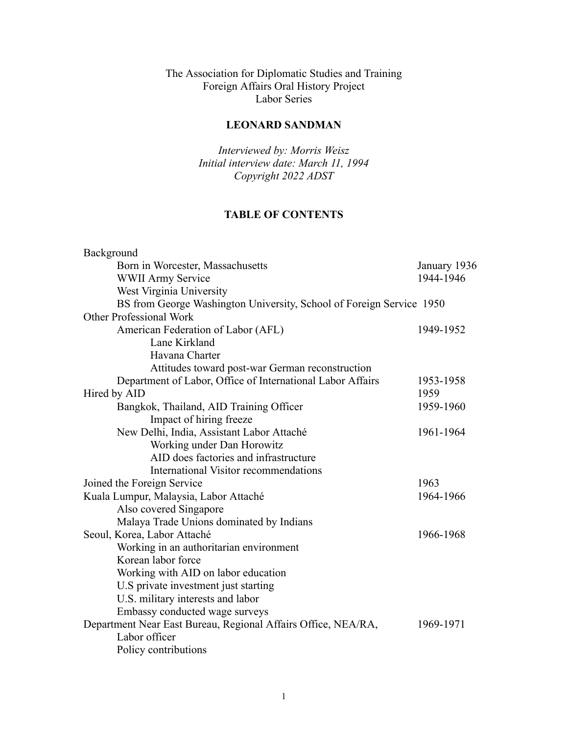The Association for Diplomatic Studies and Training Foreign Affairs Oral History Project Labor Series

# **LEONARD SANDMAN**

*Interviewed by: Morris Weisz Initial interview date: March 11, 1994 Copyright 2022 ADST*

#### **TABLE OF CONTENTS**

| Background                                                           |              |
|----------------------------------------------------------------------|--------------|
| Born in Worcester, Massachusetts                                     | January 1936 |
| <b>WWII Army Service</b>                                             | 1944-1946    |
| West Virginia University                                             |              |
| BS from George Washington University, School of Foreign Service 1950 |              |
| <b>Other Professional Work</b>                                       |              |
| American Federation of Labor (AFL)                                   | 1949-1952    |
| Lane Kirkland                                                        |              |
| Havana Charter                                                       |              |
| Attitudes toward post-war German reconstruction                      |              |
| Department of Labor, Office of International Labor Affairs           | 1953-1958    |
| Hired by AID                                                         | 1959         |
| Bangkok, Thailand, AID Training Officer                              | 1959-1960    |
| Impact of hiring freeze                                              |              |
| New Delhi, India, Assistant Labor Attaché                            | 1961-1964    |
| Working under Dan Horowitz                                           |              |
| AID does factories and infrastructure                                |              |
| International Visitor recommendations                                |              |
| Joined the Foreign Service                                           | 1963         |
| Kuala Lumpur, Malaysia, Labor Attaché                                | 1964-1966    |
| Also covered Singapore                                               |              |
| Malaya Trade Unions dominated by Indians                             |              |
| Seoul, Korea, Labor Attaché                                          | 1966-1968    |
| Working in an authoritarian environment                              |              |
| Korean labor force                                                   |              |
| Working with AID on labor education                                  |              |
| U.S private investment just starting                                 |              |
| U.S. military interests and labor                                    |              |
| Embassy conducted wage surveys                                       |              |
| Department Near East Bureau, Regional Affairs Office, NEA/RA,        | 1969-1971    |
| Labor officer                                                        |              |
| Policy contributions                                                 |              |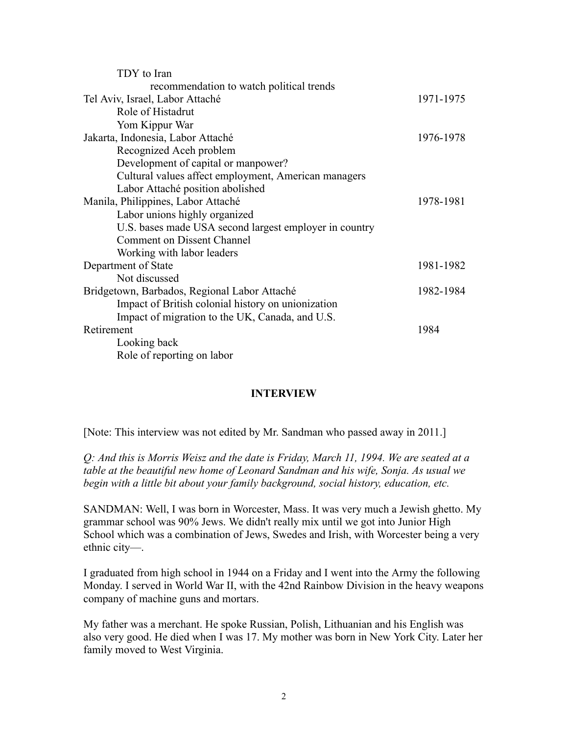| TDY to Iran                                            |           |
|--------------------------------------------------------|-----------|
| recommendation to watch political trends               |           |
| Tel Aviv, Israel, Labor Attaché                        | 1971-1975 |
| Role of Histadrut                                      |           |
| Yom Kippur War                                         |           |
| Jakarta, Indonesia, Labor Attaché                      | 1976-1978 |
| Recognized Aceh problem                                |           |
| Development of capital or manpower?                    |           |
| Cultural values affect employment, American managers   |           |
| Labor Attaché position abolished                       |           |
| Manila, Philippines, Labor Attaché                     | 1978-1981 |
| Labor unions highly organized                          |           |
| U.S. bases made USA second largest employer in country |           |
| Comment on Dissent Channel                             |           |
| Working with labor leaders                             |           |
| Department of State                                    | 1981-1982 |
| Not discussed                                          |           |
| Bridgetown, Barbados, Regional Labor Attaché           | 1982-1984 |
| Impact of British colonial history on unionization     |           |
| Impact of migration to the UK, Canada, and U.S.        |           |
| Retirement                                             | 1984      |
| Looking back                                           |           |
| Role of reporting on labor                             |           |
|                                                        |           |

#### **INTERVIEW**

[Note: This interview was not edited by Mr. Sandman who passed away in 2011.]

*Q: And this is Morris Weisz and the date is Friday, March 11, 1994. We are seated at a table at the beautiful new home of Leonard Sandman and his wife, Sonja. As usual we begin with a little bit about your family background, social history, education, etc.*

SANDMAN: Well, I was born in Worcester, Mass. It was very much a Jewish ghetto. My grammar school was 90% Jews. We didn't really mix until we got into Junior High School which was a combination of Jews, Swedes and Irish, with Worcester being a very ethnic city—.

I graduated from high school in 1944 on a Friday and I went into the Army the following Monday. I served in World War II, with the 42nd Rainbow Division in the heavy weapons company of machine guns and mortars.

My father was a merchant. He spoke Russian, Polish, Lithuanian and his English was also very good. He died when I was 17. My mother was born in New York City. Later her family moved to West Virginia.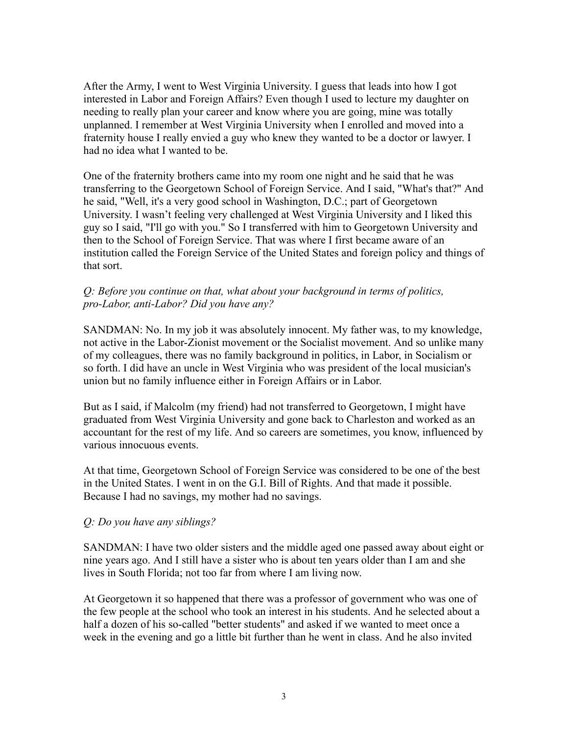After the Army, I went to West Virginia University. I guess that leads into how I got interested in Labor and Foreign Affairs? Even though I used to lecture my daughter on needing to really plan your career and know where you are going, mine was totally unplanned. I remember at West Virginia University when I enrolled and moved into a fraternity house I really envied a guy who knew they wanted to be a doctor or lawyer. I had no idea what I wanted to be.

One of the fraternity brothers came into my room one night and he said that he was transferring to the Georgetown School of Foreign Service. And I said, "What's that?" And he said, "Well, it's a very good school in Washington, D.C.; part of Georgetown University. I wasn't feeling very challenged at West Virginia University and I liked this guy so I said, "I'll go with you." So I transferred with him to Georgetown University and then to the School of Foreign Service. That was where I first became aware of an institution called the Foreign Service of the United States and foreign policy and things of that sort.

#### *Q: Before you continue on that, what about your background in terms of politics, pro-Labor, anti-Labor? Did you have any?*

SANDMAN: No. In my job it was absolutely innocent. My father was, to my knowledge, not active in the Labor-Zionist movement or the Socialist movement. And so unlike many of my colleagues, there was no family background in politics, in Labor, in Socialism or so forth. I did have an uncle in West Virginia who was president of the local musician's union but no family influence either in Foreign Affairs or in Labor.

But as I said, if Malcolm (my friend) had not transferred to Georgetown, I might have graduated from West Virginia University and gone back to Charleston and worked as an accountant for the rest of my life. And so careers are sometimes, you know, influenced by various innocuous events.

At that time, Georgetown School of Foreign Service was considered to be one of the best in the United States. I went in on the G.I. Bill of Rights. And that made it possible. Because I had no savings, my mother had no savings.

#### *Q: Do you have any siblings?*

SANDMAN: I have two older sisters and the middle aged one passed away about eight or nine years ago. And I still have a sister who is about ten years older than I am and she lives in South Florida; not too far from where I am living now.

At Georgetown it so happened that there was a professor of government who was one of the few people at the school who took an interest in his students. And he selected about a half a dozen of his so-called "better students" and asked if we wanted to meet once a week in the evening and go a little bit further than he went in class. And he also invited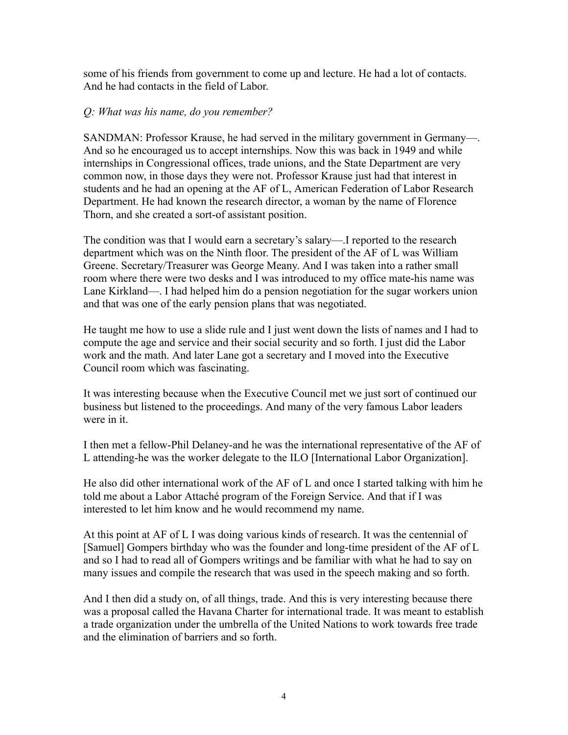some of his friends from government to come up and lecture. He had a lot of contacts. And he had contacts in the field of Labor.

#### *Q: What was his name, do you remember?*

SANDMAN: Professor Krause, he had served in the military government in Germany—. And so he encouraged us to accept internships. Now this was back in 1949 and while internships in Congressional offices, trade unions, and the State Department are very common now, in those days they were not. Professor Krause just had that interest in students and he had an opening at the AF of L, American Federation of Labor Research Department. He had known the research director, a woman by the name of Florence Thorn, and she created a sort-of assistant position.

The condition was that I would earn a secretary's salary—.I reported to the research department which was on the Ninth floor. The president of the AF of L was William Greene. Secretary/Treasurer was George Meany. And I was taken into a rather small room where there were two desks and I was introduced to my office mate-his name was Lane Kirkland—. I had helped him do a pension negotiation for the sugar workers union and that was one of the early pension plans that was negotiated.

He taught me how to use a slide rule and I just went down the lists of names and I had to compute the age and service and their social security and so forth. I just did the Labor work and the math. And later Lane got a secretary and I moved into the Executive Council room which was fascinating.

It was interesting because when the Executive Council met we just sort of continued our business but listened to the proceedings. And many of the very famous Labor leaders were in it.

I then met a fellow-Phil Delaney-and he was the international representative of the AF of L attending-he was the worker delegate to the ILO [International Labor Organization].

He also did other international work of the AF of L and once I started talking with him he told me about a Labor Attaché program of the Foreign Service. And that if I was interested to let him know and he would recommend my name.

At this point at AF of L I was doing various kinds of research. It was the centennial of [Samuel] Gompers birthday who was the founder and long-time president of the AF of L and so I had to read all of Gompers writings and be familiar with what he had to say on many issues and compile the research that was used in the speech making and so forth.

And I then did a study on, of all things, trade. And this is very interesting because there was a proposal called the Havana Charter for international trade. It was meant to establish a trade organization under the umbrella of the United Nations to work towards free trade and the elimination of barriers and so forth.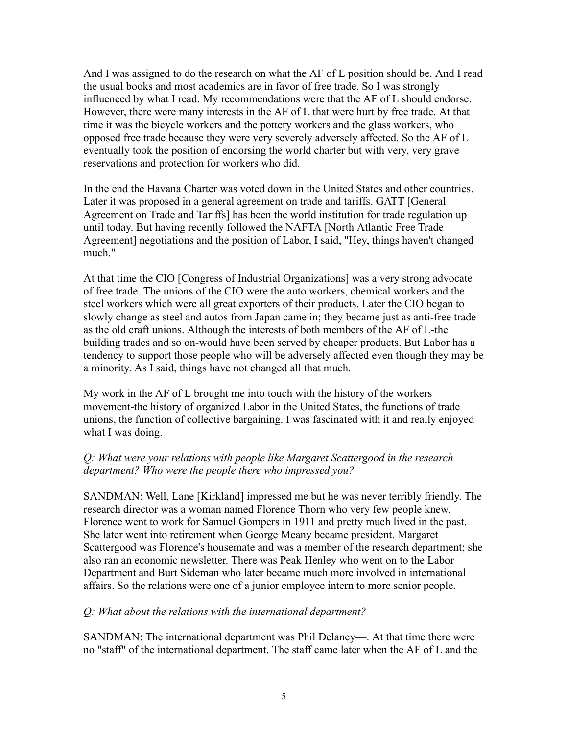And I was assigned to do the research on what the AF of L position should be. And I read the usual books and most academics are in favor of free trade. So I was strongly influenced by what I read. My recommendations were that the AF of L should endorse. However, there were many interests in the AF of L that were hurt by free trade. At that time it was the bicycle workers and the pottery workers and the glass workers, who opposed free trade because they were very severely adversely affected. So the AF of L eventually took the position of endorsing the world charter but with very, very grave reservations and protection for workers who did.

In the end the Havana Charter was voted down in the United States and other countries. Later it was proposed in a general agreement on trade and tariffs. GATT [General Agreement on Trade and Tariffs] has been the world institution for trade regulation up until today. But having recently followed the NAFTA [North Atlantic Free Trade Agreement] negotiations and the position of Labor, I said, "Hey, things haven't changed much."

At that time the CIO [Congress of Industrial Organizations] was a very strong advocate of free trade. The unions of the CIO were the auto workers, chemical workers and the steel workers which were all great exporters of their products. Later the CIO began to slowly change as steel and autos from Japan came in; they became just as anti-free trade as the old craft unions. Although the interests of both members of the AF of L-the building trades and so on-would have been served by cheaper products. But Labor has a tendency to support those people who will be adversely affected even though they may be a minority. As I said, things have not changed all that much.

My work in the AF of L brought me into touch with the history of the workers movement-the history of organized Labor in the United States, the functions of trade unions, the function of collective bargaining. I was fascinated with it and really enjoyed what I was doing.

# *Q: What were your relations with people like Margaret Scattergood in the research department? Who were the people there who impressed you?*

SANDMAN: Well, Lane [Kirkland] impressed me but he was never terribly friendly. The research director was a woman named Florence Thorn who very few people knew. Florence went to work for Samuel Gompers in 1911 and pretty much lived in the past. She later went into retirement when George Meany became president. Margaret Scattergood was Florence's housemate and was a member of the research department; she also ran an economic newsletter. There was Peak Henley who went on to the Labor Department and Burt Sideman who later became much more involved in international affairs. So the relations were one of a junior employee intern to more senior people.

# *Q: What about the relations with the international department?*

SANDMAN: The international department was Phil Delaney—. At that time there were no "staff" of the international department. The staff came later when the AF of L and the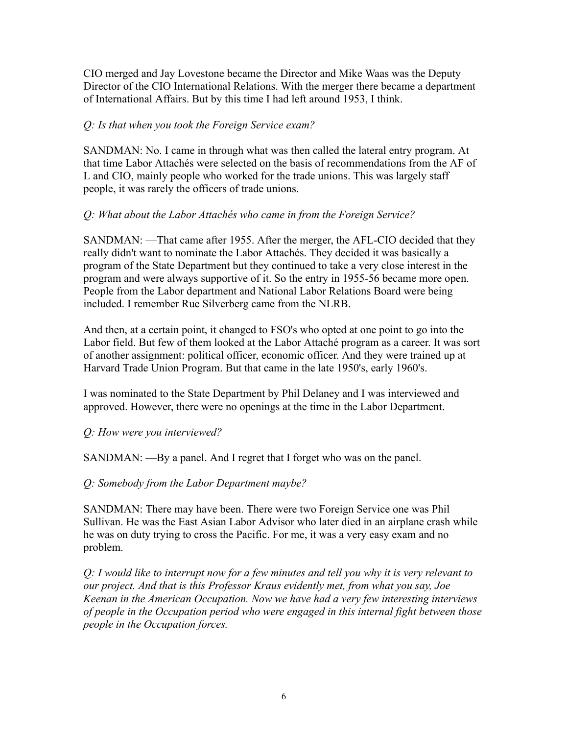CIO merged and Jay Lovestone became the Director and Mike Waas was the Deputy Director of the CIO International Relations. With the merger there became a department of International Affairs. But by this time I had left around 1953, I think.

# *Q: Is that when you took the Foreign Service exam?*

SANDMAN: No. I came in through what was then called the lateral entry program. At that time Labor Attachés were selected on the basis of recommendations from the AF of L and CIO, mainly people who worked for the trade unions. This was largely staff people, it was rarely the officers of trade unions.

# *Q: What about the Labor Attachés who came in from the Foreign Service?*

SANDMAN: —That came after 1955. After the merger, the AFL-CIO decided that they really didn't want to nominate the Labor Attachés. They decided it was basically a program of the State Department but they continued to take a very close interest in the program and were always supportive of it. So the entry in 1955-56 became more open. People from the Labor department and National Labor Relations Board were being included. I remember Rue Silverberg came from the NLRB.

And then, at a certain point, it changed to FSO's who opted at one point to go into the Labor field. But few of them looked at the Labor Attaché program as a career. It was sort of another assignment: political officer, economic officer. And they were trained up at Harvard Trade Union Program. But that came in the late 1950's, early 1960's.

I was nominated to the State Department by Phil Delaney and I was interviewed and approved. However, there were no openings at the time in the Labor Department.

# *Q: How were you interviewed?*

SANDMAN: —By a panel. And I regret that I forget who was on the panel.

# *Q: Somebody from the Labor Department maybe?*

SANDMAN: There may have been. There were two Foreign Service one was Phil Sullivan. He was the East Asian Labor Advisor who later died in an airplane crash while he was on duty trying to cross the Pacific. For me, it was a very easy exam and no problem.

*Q: I would like to interrupt now for a few minutes and tell you why it is very relevant to our project. And that is this Professor Kraus evidently met, from what you say, Joe Keenan in the American Occupation. Now we have had a very few interesting interviews of people in the Occupation period who were engaged in this internal fight between those people in the Occupation forces.*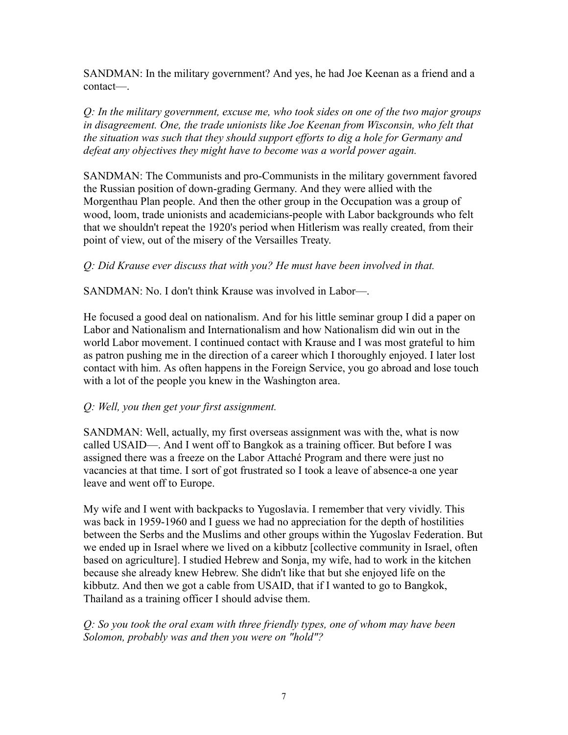SANDMAN: In the military government? And yes, he had Joe Keenan as a friend and a contact—.

*Q: In the military government, excuse me, who took sides on one of the two major groups in disagreement. One, the trade unionists like Joe Keenan from Wisconsin, who felt that the situation was such that they should support efforts to dig a hole for Germany and defeat any objectives they might have to become was a world power again.*

SANDMAN: The Communists and pro-Communists in the military government favored the Russian position of down-grading Germany. And they were allied with the Morgenthau Plan people. And then the other group in the Occupation was a group of wood, loom, trade unionists and academicians-people with Labor backgrounds who felt that we shouldn't repeat the 1920's period when Hitlerism was really created, from their point of view, out of the misery of the Versailles Treaty.

# *Q: Did Krause ever discuss that with you? He must have been involved in that.*

SANDMAN: No. I don't think Krause was involved in Labor—.

He focused a good deal on nationalism. And for his little seminar group I did a paper on Labor and Nationalism and Internationalism and how Nationalism did win out in the world Labor movement. I continued contact with Krause and I was most grateful to him as patron pushing me in the direction of a career which I thoroughly enjoyed. I later lost contact with him. As often happens in the Foreign Service, you go abroad and lose touch with a lot of the people you knew in the Washington area.

# *Q: Well, you then get your first assignment.*

SANDMAN: Well, actually, my first overseas assignment was with the, what is now called USAID—. And I went off to Bangkok as a training officer. But before I was assigned there was a freeze on the Labor Attaché Program and there were just no vacancies at that time. I sort of got frustrated so I took a leave of absence-a one year leave and went off to Europe.

My wife and I went with backpacks to Yugoslavia. I remember that very vividly. This was back in 1959-1960 and I guess we had no appreciation for the depth of hostilities between the Serbs and the Muslims and other groups within the Yugoslav Federation. But we ended up in Israel where we lived on a kibbutz [collective community in Israel, often based on agriculture]. I studied Hebrew and Sonja, my wife, had to work in the kitchen because she already knew Hebrew. She didn't like that but she enjoyed life on the kibbutz. And then we got a cable from USAID, that if I wanted to go to Bangkok, Thailand as a training officer I should advise them.

*Q: So you took the oral exam with three friendly types, one of whom may have been Solomon, probably was and then you were on "hold"?*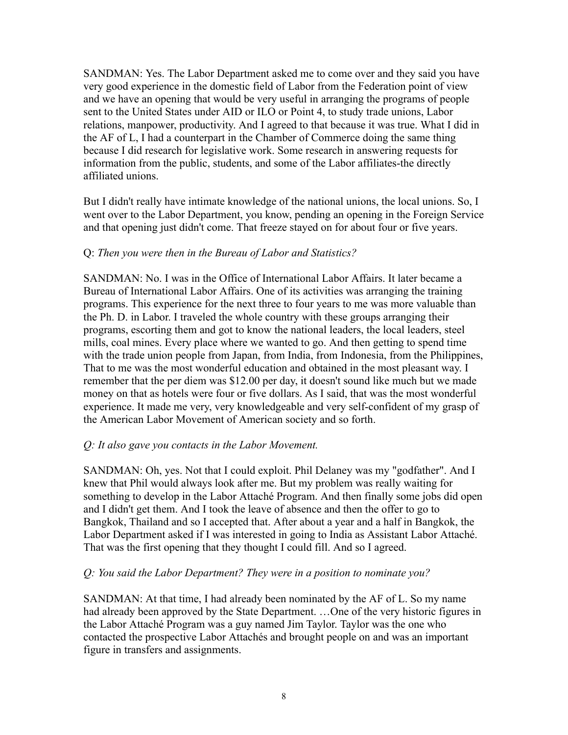SANDMAN: Yes. The Labor Department asked me to come over and they said you have very good experience in the domestic field of Labor from the Federation point of view and we have an opening that would be very useful in arranging the programs of people sent to the United States under AID or ILO or Point 4, to study trade unions, Labor relations, manpower, productivity. And I agreed to that because it was true. What I did in the AF of L, I had a counterpart in the Chamber of Commerce doing the same thing because I did research for legislative work. Some research in answering requests for information from the public, students, and some of the Labor affiliates-the directly affiliated unions.

But I didn't really have intimate knowledge of the national unions, the local unions. So, I went over to the Labor Department, you know, pending an opening in the Foreign Service and that opening just didn't come. That freeze stayed on for about four or five years.

#### Q: *Then you were then in the Bureau of Labor and Statistics?*

SANDMAN: No. I was in the Office of International Labor Affairs. It later became a Bureau of International Labor Affairs. One of its activities was arranging the training programs. This experience for the next three to four years to me was more valuable than the Ph. D. in Labor. I traveled the whole country with these groups arranging their programs, escorting them and got to know the national leaders, the local leaders, steel mills, coal mines. Every place where we wanted to go. And then getting to spend time with the trade union people from Japan, from India, from Indonesia, from the Philippines, That to me was the most wonderful education and obtained in the most pleasant way. I remember that the per diem was \$12.00 per day, it doesn't sound like much but we made money on that as hotels were four or five dollars. As I said, that was the most wonderful experience. It made me very, very knowledgeable and very self-confident of my grasp of the American Labor Movement of American society and so forth.

#### *Q: It also gave you contacts in the Labor Movement.*

SANDMAN: Oh, yes. Not that I could exploit. Phil Delaney was my "godfather". And I knew that Phil would always look after me. But my problem was really waiting for something to develop in the Labor Attaché Program. And then finally some jobs did open and I didn't get them. And I took the leave of absence and then the offer to go to Bangkok, Thailand and so I accepted that. After about a year and a half in Bangkok, the Labor Department asked if I was interested in going to India as Assistant Labor Attaché. That was the first opening that they thought I could fill. And so I agreed.

#### *Q: You said the Labor Department? They were in a position to nominate you?*

SANDMAN: At that time, I had already been nominated by the AF of L. So my name had already been approved by the State Department. …One of the very historic figures in the Labor Attaché Program was a guy named Jim Taylor. Taylor was the one who contacted the prospective Labor Attachés and brought people on and was an important figure in transfers and assignments.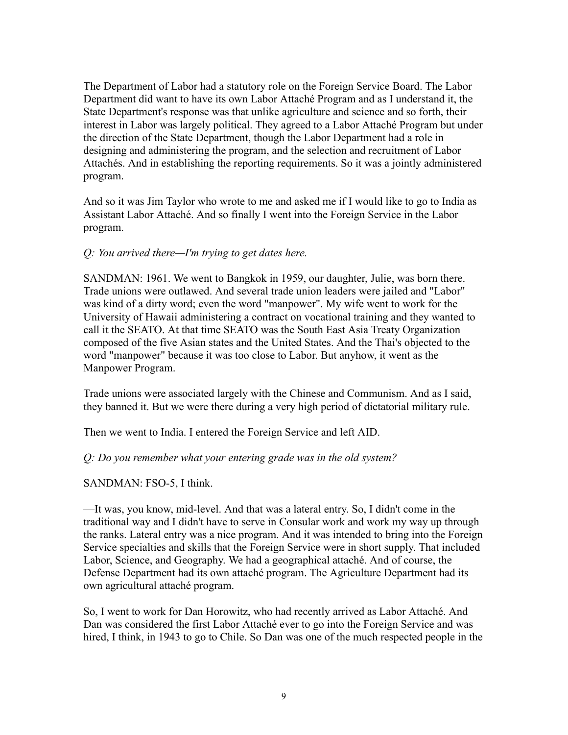The Department of Labor had a statutory role on the Foreign Service Board. The Labor Department did want to have its own Labor Attaché Program and as I understand it, the State Department's response was that unlike agriculture and science and so forth, their interest in Labor was largely political. They agreed to a Labor Attaché Program but under the direction of the State Department, though the Labor Department had a role in designing and administering the program, and the selection and recruitment of Labor Attachés. And in establishing the reporting requirements. So it was a jointly administered program.

And so it was Jim Taylor who wrote to me and asked me if I would like to go to India as Assistant Labor Attaché. And so finally I went into the Foreign Service in the Labor program.

#### *Q: You arrived there—I'm trying to get dates here.*

SANDMAN: 1961. We went to Bangkok in 1959, our daughter, Julie, was born there. Trade unions were outlawed. And several trade union leaders were jailed and "Labor" was kind of a dirty word; even the word "manpower". My wife went to work for the University of Hawaii administering a contract on vocational training and they wanted to call it the SEATO. At that time SEATO was the South East Asia Treaty Organization composed of the five Asian states and the United States. And the Thai's objected to the word "manpower" because it was too close to Labor. But anyhow, it went as the Manpower Program.

Trade unions were associated largely with the Chinese and Communism. And as I said, they banned it. But we were there during a very high period of dictatorial military rule.

Then we went to India. I entered the Foreign Service and left AID.

# *Q: Do you remember what your entering grade was in the old system?*

# SANDMAN: FSO-5, I think.

—It was, you know, mid-level. And that was a lateral entry. So, I didn't come in the traditional way and I didn't have to serve in Consular work and work my way up through the ranks. Lateral entry was a nice program. And it was intended to bring into the Foreign Service specialties and skills that the Foreign Service were in short supply. That included Labor, Science, and Geography. We had a geographical attaché. And of course, the Defense Department had its own attaché program. The Agriculture Department had its own agricultural attaché program.

So, I went to work for Dan Horowitz, who had recently arrived as Labor Attaché. And Dan was considered the first Labor Attaché ever to go into the Foreign Service and was hired, I think, in 1943 to go to Chile. So Dan was one of the much respected people in the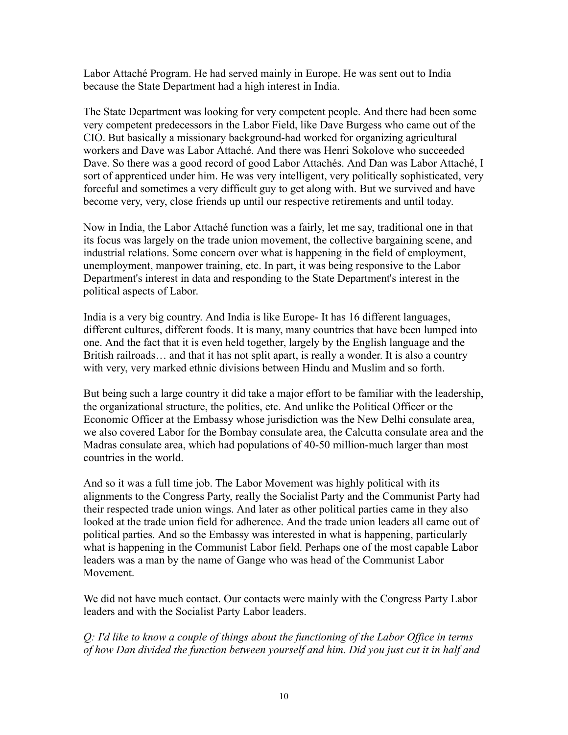Labor Attaché Program. He had served mainly in Europe. He was sent out to India because the State Department had a high interest in India.

The State Department was looking for very competent people. And there had been some very competent predecessors in the Labor Field, like Dave Burgess who came out of the CIO. But basically a missionary background-had worked for organizing agricultural workers and Dave was Labor Attaché. And there was Henri Sokolove who succeeded Dave. So there was a good record of good Labor Attachés. And Dan was Labor Attaché, I sort of apprenticed under him. He was very intelligent, very politically sophisticated, very forceful and sometimes a very difficult guy to get along with. But we survived and have become very, very, close friends up until our respective retirements and until today.

Now in India, the Labor Attaché function was a fairly, let me say, traditional one in that its focus was largely on the trade union movement, the collective bargaining scene, and industrial relations. Some concern over what is happening in the field of employment, unemployment, manpower training, etc. In part, it was being responsive to the Labor Department's interest in data and responding to the State Department's interest in the political aspects of Labor.

India is a very big country. And India is like Europe- It has 16 different languages, different cultures, different foods. It is many, many countries that have been lumped into one. And the fact that it is even held together, largely by the English language and the British railroads... and that it has not split apart, is really a wonder. It is also a country with very, very marked ethnic divisions between Hindu and Muslim and so forth.

But being such a large country it did take a major effort to be familiar with the leadership, the organizational structure, the politics, etc. And unlike the Political Officer or the Economic Officer at the Embassy whose jurisdiction was the New Delhi consulate area, we also covered Labor for the Bombay consulate area, the Calcutta consulate area and the Madras consulate area, which had populations of 40-50 million-much larger than most countries in the world.

And so it was a full time job. The Labor Movement was highly political with its alignments to the Congress Party, really the Socialist Party and the Communist Party had their respected trade union wings. And later as other political parties came in they also looked at the trade union field for adherence. And the trade union leaders all came out of political parties. And so the Embassy was interested in what is happening, particularly what is happening in the Communist Labor field. Perhaps one of the most capable Labor leaders was a man by the name of Gange who was head of the Communist Labor Movement.

We did not have much contact. Our contacts were mainly with the Congress Party Labor leaders and with the Socialist Party Labor leaders.

*Q: I'd like to know a couple of things about the functioning of the Labor Office in terms of how Dan divided the function between yourself and him. Did you just cut it in half and*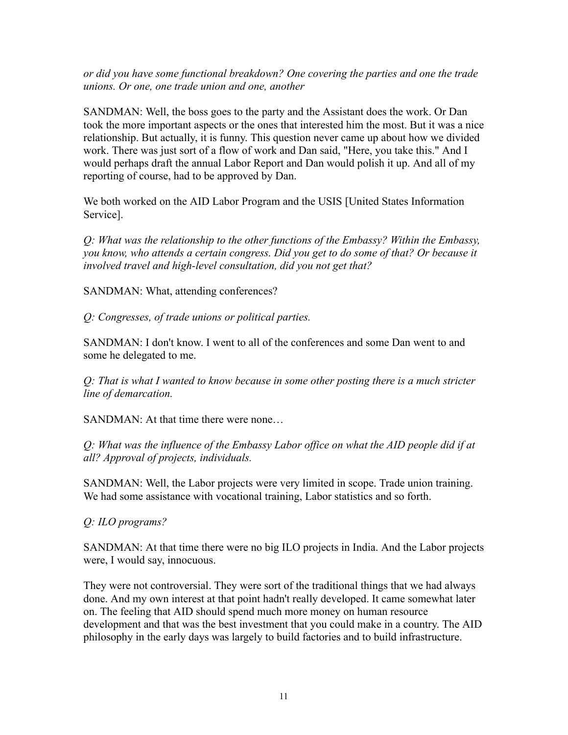*or did you have some functional breakdown? One covering the parties and one the trade unions. Or one, one trade union and one, another*

SANDMAN: Well, the boss goes to the party and the Assistant does the work. Or Dan took the more important aspects or the ones that interested him the most. But it was a nice relationship. But actually, it is funny. This question never came up about how we divided work. There was just sort of a flow of work and Dan said, "Here, you take this." And I would perhaps draft the annual Labor Report and Dan would polish it up. And all of my reporting of course, had to be approved by Dan.

We both worked on the AID Labor Program and the USIS [United States Information Service].

*Q: What was the relationship to the other functions of the Embassy? Within the Embassy, you know, who attends a certain congress. Did you get to do some of that? Or because it involved travel and high-level consultation, did you not get that?*

SANDMAN: What, attending conferences?

*Q: Congresses, of trade unions or political parties.*

SANDMAN: I don't know. I went to all of the conferences and some Dan went to and some he delegated to me.

*Q: That is what I wanted to know because in some other posting there is a much stricter line of demarcation.*

SANDMAN: At that time there were none…

*Q: What was the influence of the Embassy Labor office on what the AID people did if at all? Approval of projects, individuals.*

SANDMAN: Well, the Labor projects were very limited in scope. Trade union training. We had some assistance with vocational training, Labor statistics and so forth.

*Q: ILO programs?*

SANDMAN: At that time there were no big ILO projects in India. And the Labor projects were, I would say, innocuous.

They were not controversial. They were sort of the traditional things that we had always done. And my own interest at that point hadn't really developed. It came somewhat later on. The feeling that AID should spend much more money on human resource development and that was the best investment that you could make in a country. The AID philosophy in the early days was largely to build factories and to build infrastructure.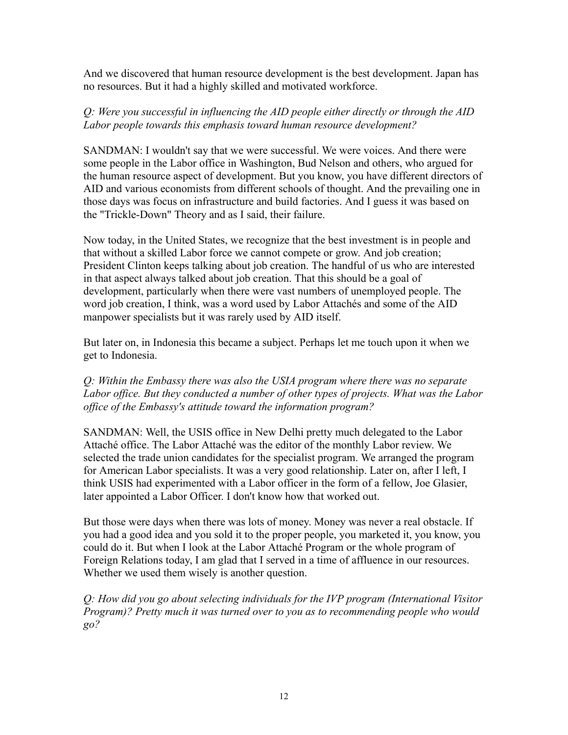And we discovered that human resource development is the best development. Japan has no resources. But it had a highly skilled and motivated workforce.

# *Q: Were you successful in influencing the AID people either directly or through the AID Labor people towards this emphasis toward human resource development?*

SANDMAN: I wouldn't say that we were successful. We were voices. And there were some people in the Labor office in Washington, Bud Nelson and others, who argued for the human resource aspect of development. But you know, you have different directors of AID and various economists from different schools of thought. And the prevailing one in those days was focus on infrastructure and build factories. And I guess it was based on the "Trickle-Down" Theory and as I said, their failure.

Now today, in the United States, we recognize that the best investment is in people and that without a skilled Labor force we cannot compete or grow. And job creation; President Clinton keeps talking about job creation. The handful of us who are interested in that aspect always talked about job creation. That this should be a goal of development, particularly when there were vast numbers of unemployed people. The word job creation, I think, was a word used by Labor Attachés and some of the AID manpower specialists but it was rarely used by AID itself.

But later on, in Indonesia this became a subject. Perhaps let me touch upon it when we get to Indonesia.

*Q: Within the Embassy there was also the USIA program where there was no separate Labor office. But they conducted a number of other types of projects. What was the Labor office of the Embassy's attitude toward the information program?*

SANDMAN: Well, the USIS office in New Delhi pretty much delegated to the Labor Attaché office. The Labor Attaché was the editor of the monthly Labor review. We selected the trade union candidates for the specialist program. We arranged the program for American Labor specialists. It was a very good relationship. Later on, after I left, I think USIS had experimented with a Labor officer in the form of a fellow, Joe Glasier, later appointed a Labor Officer. I don't know how that worked out.

But those were days when there was lots of money. Money was never a real obstacle. If you had a good idea and you sold it to the proper people, you marketed it, you know, you could do it. But when I look at the Labor Attaché Program or the whole program of Foreign Relations today, I am glad that I served in a time of affluence in our resources. Whether we used them wisely is another question.

*Q: How did you go about selecting individuals for the IVP program (International Visitor Program)? Pretty much it was turned over to you as to recommending people who would go?*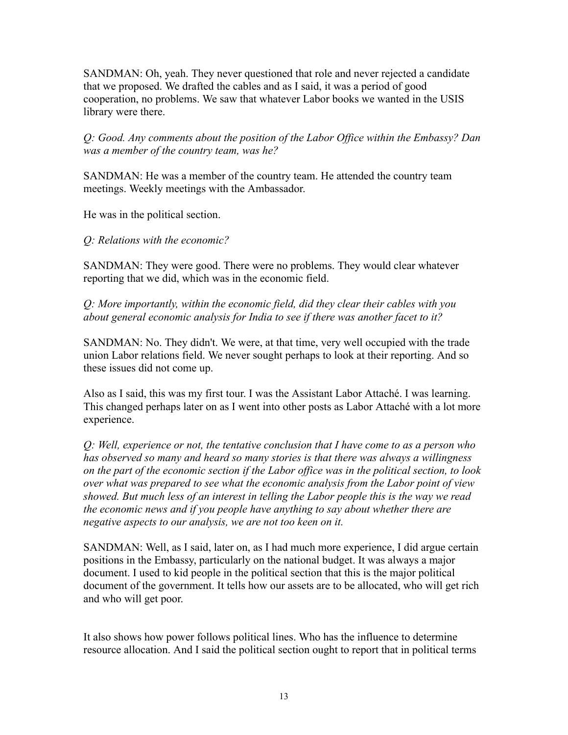SANDMAN: Oh, yeah. They never questioned that role and never rejected a candidate that we proposed. We drafted the cables and as I said, it was a period of good cooperation, no problems. We saw that whatever Labor books we wanted in the USIS library were there.

*Q: Good. Any comments about the position of the Labor Office within the Embassy? Dan was a member of the country team, was he?*

SANDMAN: He was a member of the country team. He attended the country team meetings. Weekly meetings with the Ambassador.

He was in the political section.

*Q: Relations with the economic?*

SANDMAN: They were good. There were no problems. They would clear whatever reporting that we did, which was in the economic field.

*Q: More importantly, within the economic field, did they clear their cables with you about general economic analysis for India to see if there was another facet to it?*

SANDMAN: No. They didn't. We were, at that time, very well occupied with the trade union Labor relations field. We never sought perhaps to look at their reporting. And so these issues did not come up.

Also as I said, this was my first tour. I was the Assistant Labor Attaché. I was learning. This changed perhaps later on as I went into other posts as Labor Attaché with a lot more experience.

*Q: Well, experience or not, the tentative conclusion that I have come to as a person who has observed so many and heard so many stories is that there was always a willingness on the part of the economic section if the Labor office was in the political section, to look over what was prepared to see what the economic analysis from the Labor point of view showed. But much less of an interest in telling the Labor people this is the way we read the economic news and if you people have anything to say about whether there are negative aspects to our analysis, we are not too keen on it.*

SANDMAN: Well, as I said, later on, as I had much more experience, I did argue certain positions in the Embassy, particularly on the national budget. It was always a major document. I used to kid people in the political section that this is the major political document of the government. It tells how our assets are to be allocated, who will get rich and who will get poor.

It also shows how power follows political lines. Who has the influence to determine resource allocation. And I said the political section ought to report that in political terms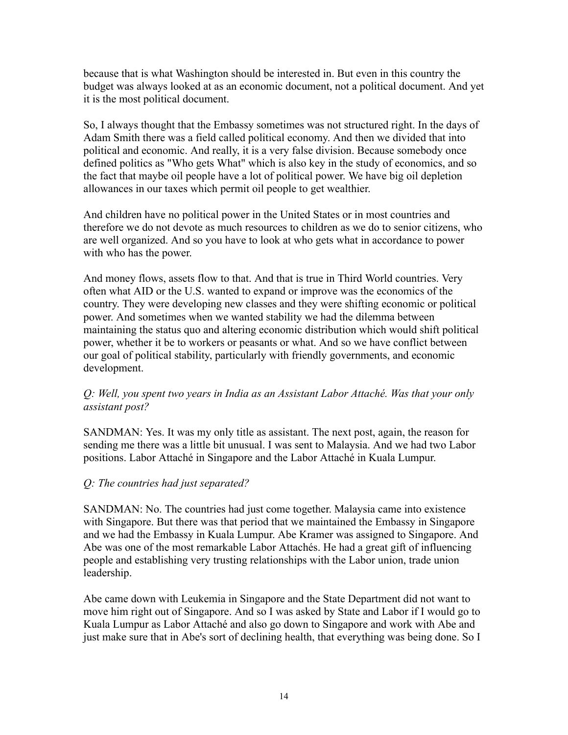because that is what Washington should be interested in. But even in this country the budget was always looked at as an economic document, not a political document. And yet it is the most political document.

So, I always thought that the Embassy sometimes was not structured right. In the days of Adam Smith there was a field called political economy. And then we divided that into political and economic. And really, it is a very false division. Because somebody once defined politics as "Who gets What" which is also key in the study of economics, and so the fact that maybe oil people have a lot of political power. We have big oil depletion allowances in our taxes which permit oil people to get wealthier.

And children have no political power in the United States or in most countries and therefore we do not devote as much resources to children as we do to senior citizens, who are well organized. And so you have to look at who gets what in accordance to power with who has the power.

And money flows, assets flow to that. And that is true in Third World countries. Very often what AID or the U.S. wanted to expand or improve was the economics of the country. They were developing new classes and they were shifting economic or political power. And sometimes when we wanted stability we had the dilemma between maintaining the status quo and altering economic distribution which would shift political power, whether it be to workers or peasants or what. And so we have conflict between our goal of political stability, particularly with friendly governments, and economic development.

# *Q: Well, you spent two years in India as an Assistant Labor Attaché. Was that your only assistant post?*

SANDMAN: Yes. It was my only title as assistant. The next post, again, the reason for sending me there was a little bit unusual. I was sent to Malaysia. And we had two Labor positions. Labor Attaché in Singapore and the Labor Attaché in Kuala Lumpur.

# *Q: The countries had just separated?*

SANDMAN: No. The countries had just come together. Malaysia came into existence with Singapore. But there was that period that we maintained the Embassy in Singapore and we had the Embassy in Kuala Lumpur. Abe Kramer was assigned to Singapore. And Abe was one of the most remarkable Labor Attachés. He had a great gift of influencing people and establishing very trusting relationships with the Labor union, trade union leadership.

Abe came down with Leukemia in Singapore and the State Department did not want to move him right out of Singapore. And so I was asked by State and Labor if I would go to Kuala Lumpur as Labor Attaché and also go down to Singapore and work with Abe and just make sure that in Abe's sort of declining health, that everything was being done. So I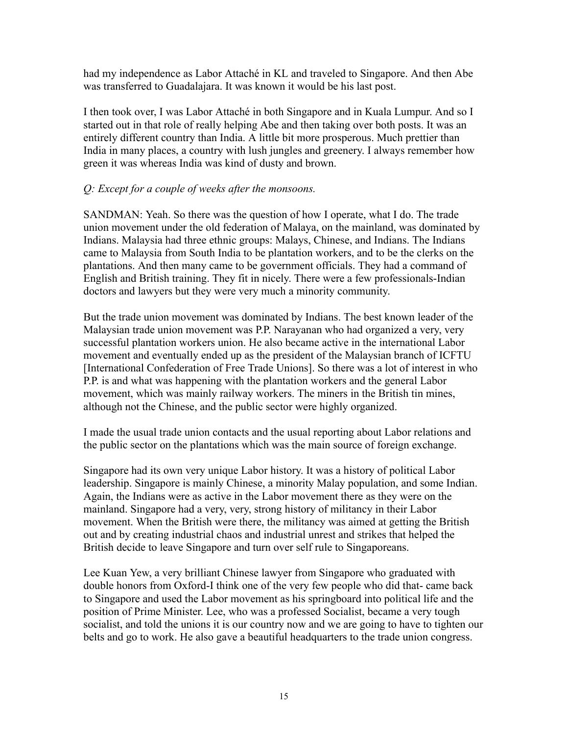had my independence as Labor Attaché in KL and traveled to Singapore. And then Abe was transferred to Guadalajara. It was known it would be his last post.

I then took over, I was Labor Attaché in both Singapore and in Kuala Lumpur. And so I started out in that role of really helping Abe and then taking over both posts. It was an entirely different country than India. A little bit more prosperous. Much prettier than India in many places, a country with lush jungles and greenery. I always remember how green it was whereas India was kind of dusty and brown.

#### *Q: Except for a couple of weeks after the monsoons.*

SANDMAN: Yeah. So there was the question of how I operate, what I do. The trade union movement under the old federation of Malaya, on the mainland, was dominated by Indians. Malaysia had three ethnic groups: Malays, Chinese, and Indians. The Indians came to Malaysia from South India to be plantation workers, and to be the clerks on the plantations. And then many came to be government officials. They had a command of English and British training. They fit in nicely. There were a few professionals-Indian doctors and lawyers but they were very much a minority community.

But the trade union movement was dominated by Indians. The best known leader of the Malaysian trade union movement was P.P. Narayanan who had organized a very, very successful plantation workers union. He also became active in the international Labor movement and eventually ended up as the president of the Malaysian branch of ICFTU [International Confederation of Free Trade Unions]. So there was a lot of interest in who P.P. is and what was happening with the plantation workers and the general Labor movement, which was mainly railway workers. The miners in the British tin mines, although not the Chinese, and the public sector were highly organized.

I made the usual trade union contacts and the usual reporting about Labor relations and the public sector on the plantations which was the main source of foreign exchange.

Singapore had its own very unique Labor history. It was a history of political Labor leadership. Singapore is mainly Chinese, a minority Malay population, and some Indian. Again, the Indians were as active in the Labor movement there as they were on the mainland. Singapore had a very, very, strong history of militancy in their Labor movement. When the British were there, the militancy was aimed at getting the British out and by creating industrial chaos and industrial unrest and strikes that helped the British decide to leave Singapore and turn over self rule to Singaporeans.

Lee Kuan Yew, a very brilliant Chinese lawyer from Singapore who graduated with double honors from Oxford-I think one of the very few people who did that- came back to Singapore and used the Labor movement as his springboard into political life and the position of Prime Minister. Lee, who was a professed Socialist, became a very tough socialist, and told the unions it is our country now and we are going to have to tighten our belts and go to work. He also gave a beautiful headquarters to the trade union congress.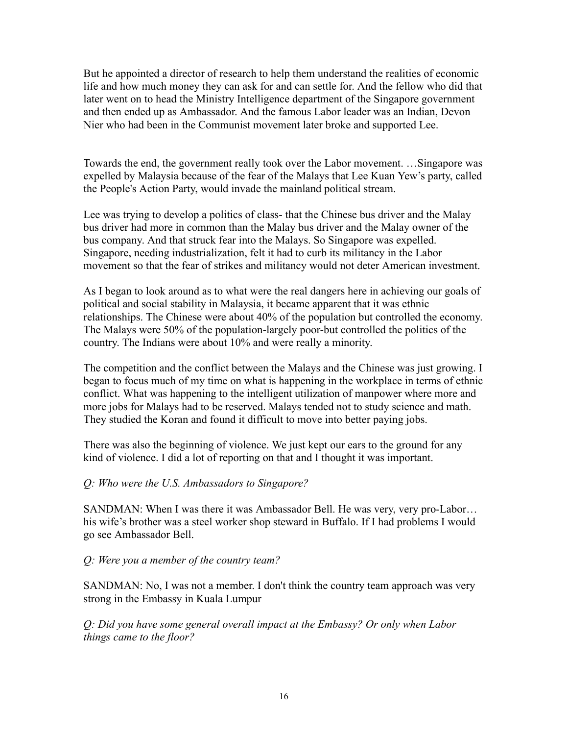But he appointed a director of research to help them understand the realities of economic life and how much money they can ask for and can settle for. And the fellow who did that later went on to head the Ministry Intelligence department of the Singapore government and then ended up as Ambassador. And the famous Labor leader was an Indian, Devon Nier who had been in the Communist movement later broke and supported Lee.

Towards the end, the government really took over the Labor movement. …Singapore was expelled by Malaysia because of the fear of the Malays that Lee Kuan Yew's party, called the People's Action Party, would invade the mainland political stream.

Lee was trying to develop a politics of class- that the Chinese bus driver and the Malay bus driver had more in common than the Malay bus driver and the Malay owner of the bus company. And that struck fear into the Malays. So Singapore was expelled. Singapore, needing industrialization, felt it had to curb its militancy in the Labor movement so that the fear of strikes and militancy would not deter American investment.

As I began to look around as to what were the real dangers here in achieving our goals of political and social stability in Malaysia, it became apparent that it was ethnic relationships. The Chinese were about 40% of the population but controlled the economy. The Malays were 50% of the population-largely poor-but controlled the politics of the country. The Indians were about 10% and were really a minority.

The competition and the conflict between the Malays and the Chinese was just growing. I began to focus much of my time on what is happening in the workplace in terms of ethnic conflict. What was happening to the intelligent utilization of manpower where more and more jobs for Malays had to be reserved. Malays tended not to study science and math. They studied the Koran and found it difficult to move into better paying jobs.

There was also the beginning of violence. We just kept our ears to the ground for any kind of violence. I did a lot of reporting on that and I thought it was important.

# *Q: Who were the U.S. Ambassadors to Singapore?*

SANDMAN: When I was there it was Ambassador Bell. He was very, very pro-Labor… his wife's brother was a steel worker shop steward in Buffalo. If I had problems I would go see Ambassador Bell.

#### *Q: Were you a member of the country team?*

SANDMAN: No, I was not a member. I don't think the country team approach was very strong in the Embassy in Kuala Lumpur

*Q: Did you have some general overall impact at the Embassy? Or only when Labor things came to the floor?*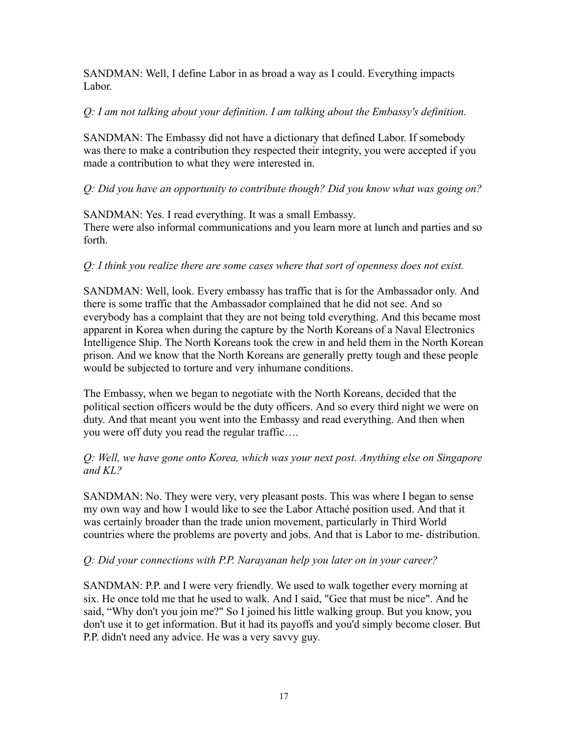SANDMAN: Well, I define Labor in as broad a way as I could. Everything impacts Labor.

#### *Q: I am not talking about your definition. I am talking about the Embassy's definition.*

SANDMAN: The Embassy did not have a dictionary that defined Labor. If somebody was there to make a contribution they respected their integrity, you were accepted if you made a contribution to what they were interested in.

# *Q: Did you have an opportunity to contribute though? Did you know what was going on?*

SANDMAN: Yes. I read everything. It was a small Embassy. There were also informal communications and you learn more at lunch and parties and so forth.

#### *Q: I think you realize there are some cases where that sort of openness does not exist.*

SANDMAN: Well, look. Every embassy has traffic that is for the Ambassador only. And there is some traffic that the Ambassador complained that he did not see. And so everybody has a complaint that they are not being told everything. And this became most apparent in Korea when during the capture by the North Koreans of a Naval Electronics Intelligence Ship. The North Koreans took the crew in and held them in the North Korean prison. And we know that the North Koreans are generally pretty tough and these people would be subjected to torture and very inhumane conditions.

The Embassy, when we began to negotiate with the North Koreans, decided that the political section officers would be the duty officers. And so every third night we were on duty. And that meant you went into the Embassy and read everything. And then when you were off duty you read the regular traffic….

#### *Q: Well, we have gone onto Korea, which was your next post. Anything else on Singapore and KL?*

SANDMAN: No. They were very, very pleasant posts. This was where I began to sense my own way and how I would like to see the Labor Attaché position used. And that it was certainly broader than the trade union movement, particularly in Third World countries where the problems are poverty and jobs. And that is Labor to me- distribution.

#### *Q: Did your connections with P.P. Narayanan help you later on in your career?*

SANDMAN: P.P. and I were very friendly. We used to walk together every morning at six. He once told me that he used to walk. And I said, "Gee that must be nice". And he said, "Why don't you join me?" So I joined his little walking group. But you know, you don't use it to get information. But it had its payoffs and you'd simply become closer. But P.P. didn't need any advice. He was a very savvy guy.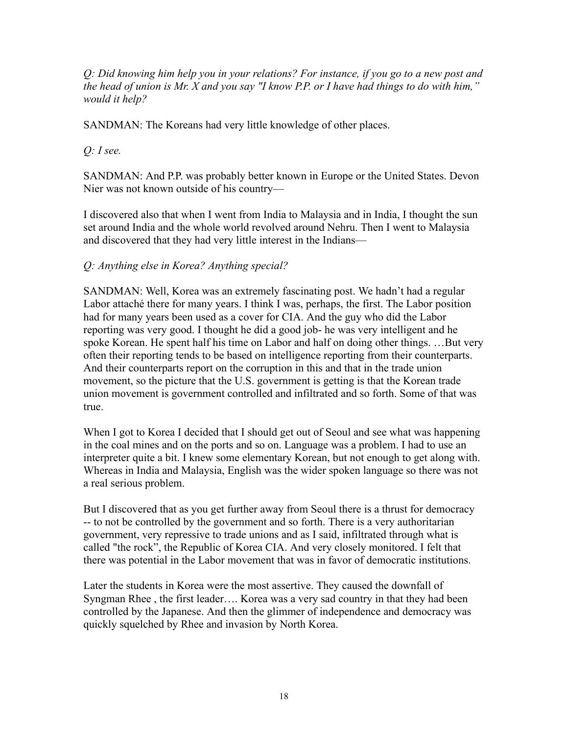*Q: Did knowing him help you in your relations? For instance, if you go to a new post and the head of union is Mr. X and you say "I know P.P. or I have had things to do with him," would it help?*

SANDMAN: The Koreans had very little knowledge of other places.

*Q: I see.*

SANDMAN: And P.P. was probably better known in Europe or the United States. Devon Nier was not known outside of his country—

I discovered also that when I went from India to Malaysia and in India, I thought the sun set around India and the whole world revolved around Nehru. Then I went to Malaysia and discovered that they had very little interest in the Indians—

# *Q: Anything else in Korea? Anything special?*

SANDMAN: Well, Korea was an extremely fascinating post. We hadn't had a regular Labor attaché there for many years. I think I was, perhaps, the first. The Labor position had for many years been used as a cover for CIA. And the guy who did the Labor reporting was very good. I thought he did a good job- he was very intelligent and he spoke Korean. He spent half his time on Labor and half on doing other things. …But very often their reporting tends to be based on intelligence reporting from their counterparts. And their counterparts report on the corruption in this and that in the trade union movement, so the picture that the U.S. government is getting is that the Korean trade union movement is government controlled and infiltrated and so forth. Some of that was true.

When I got to Korea I decided that I should get out of Seoul and see what was happening in the coal mines and on the ports and so on. Language was a problem. I had to use an interpreter quite a bit. I knew some elementary Korean, but not enough to get along with. Whereas in India and Malaysia, English was the wider spoken language so there was not a real serious problem.

But I discovered that as you get further away from Seoul there is a thrust for democracy -- to not be controlled by the government and so forth. There is a very authoritarian government, very repressive to trade unions and as I said, infiltrated through what is called "the rock", the Republic of Korea CIA. And very closely monitored. I felt that there was potential in the Labor movement that was in favor of democratic institutions.

Later the students in Korea were the most assertive. They caused the downfall of Syngman Rhee , the first leader…. Korea was a very sad country in that they had been controlled by the Japanese. And then the glimmer of independence and democracy was quickly squelched by Rhee and invasion by North Korea.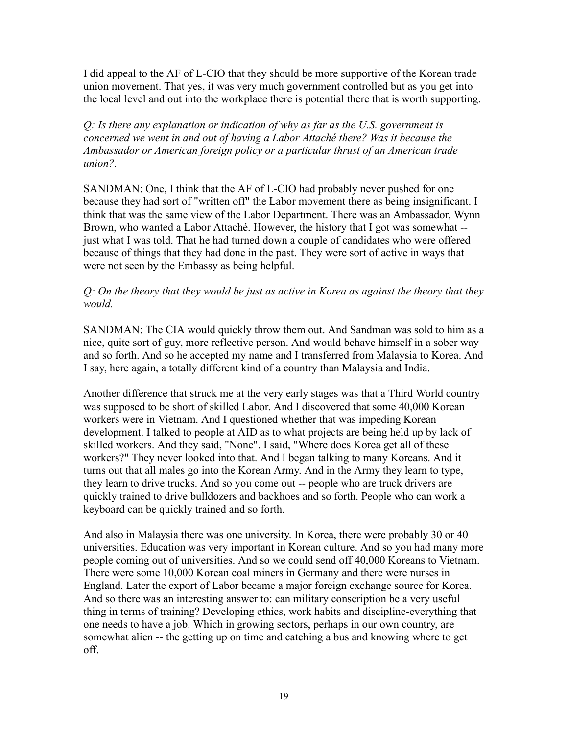I did appeal to the AF of L-CIO that they should be more supportive of the Korean trade union movement. That yes, it was very much government controlled but as you get into the local level and out into the workplace there is potential there that is worth supporting.

*Q: Is there any explanation or indication of why as far as the U.S. government is concerned we went in and out of having a Labor Attaché there? Was it because the Ambassador or American foreign policy or a particular thrust of an American trade union?.*

SANDMAN: One, I think that the AF of L-CIO had probably never pushed for one because they had sort of "written off" the Labor movement there as being insignificant. I think that was the same view of the Labor Department. There was an Ambassador, Wynn Brown, who wanted a Labor Attaché. However, the history that I got was somewhat - just what I was told. That he had turned down a couple of candidates who were offered because of things that they had done in the past. They were sort of active in ways that were not seen by the Embassy as being helpful.

#### *Q: On the theory that they would be just as active in Korea as against the theory that they would.*

SANDMAN: The CIA would quickly throw them out. And Sandman was sold to him as a nice, quite sort of guy, more reflective person. And would behave himself in a sober way and so forth. And so he accepted my name and I transferred from Malaysia to Korea. And I say, here again, a totally different kind of a country than Malaysia and India.

Another difference that struck me at the very early stages was that a Third World country was supposed to be short of skilled Labor. And I discovered that some 40,000 Korean workers were in Vietnam. And I questioned whether that was impeding Korean development. I talked to people at AID as to what projects are being held up by lack of skilled workers. And they said, "None". I said, "Where does Korea get all of these workers?" They never looked into that. And I began talking to many Koreans. And it turns out that all males go into the Korean Army. And in the Army they learn to type, they learn to drive trucks. And so you come out -- people who are truck drivers are quickly trained to drive bulldozers and backhoes and so forth. People who can work a keyboard can be quickly trained and so forth.

And also in Malaysia there was one university. In Korea, there were probably 30 or 40 universities. Education was very important in Korean culture. And so you had many more people coming out of universities. And so we could send off 40,000 Koreans to Vietnam. There were some 10,000 Korean coal miners in Germany and there were nurses in England. Later the export of Labor became a major foreign exchange source for Korea. And so there was an interesting answer to: can military conscription be a very useful thing in terms of training? Developing ethics, work habits and discipline-everything that one needs to have a job. Which in growing sectors, perhaps in our own country, are somewhat alien -- the getting up on time and catching a bus and knowing where to get off.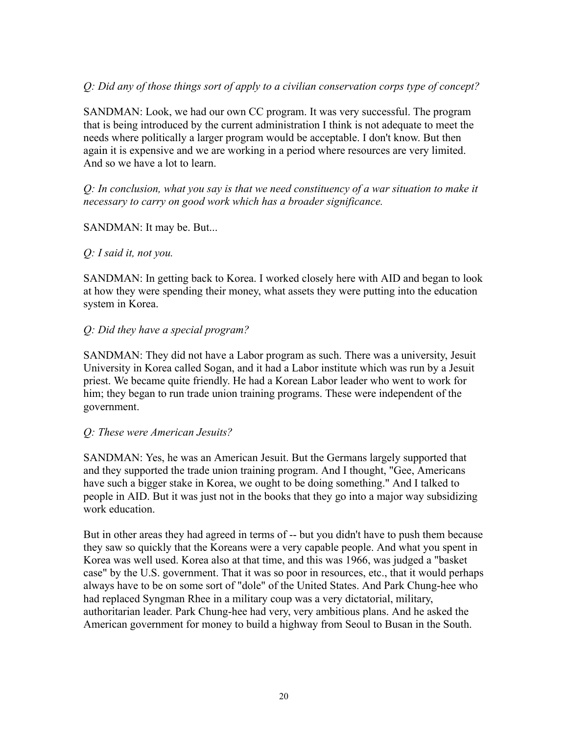#### *Q: Did any of those things sort of apply to a civilian conservation corps type of concept?*

SANDMAN: Look, we had our own CC program. It was very successful. The program that is being introduced by the current administration I think is not adequate to meet the needs where politically a larger program would be acceptable. I don't know. But then again it is expensive and we are working in a period where resources are very limited. And so we have a lot to learn.

*Q: In conclusion, what you say is that we need constituency of a war situation to make it necessary to carry on good work which has a broader significance.*

#### SANDMAN: It may be. But...

#### *Q: I said it, not you.*

SANDMAN: In getting back to Korea. I worked closely here with AID and began to look at how they were spending their money, what assets they were putting into the education system in Korea.

#### *Q: Did they have a special program?*

SANDMAN: They did not have a Labor program as such. There was a university, Jesuit University in Korea called Sogan, and it had a Labor institute which was run by a Jesuit priest. We became quite friendly. He had a Korean Labor leader who went to work for him; they began to run trade union training programs. These were independent of the government.

#### *Q: These were American Jesuits?*

SANDMAN: Yes, he was an American Jesuit. But the Germans largely supported that and they supported the trade union training program. And I thought, "Gee, Americans have such a bigger stake in Korea, we ought to be doing something." And I talked to people in AID. But it was just not in the books that they go into a major way subsidizing work education.

But in other areas they had agreed in terms of -- but you didn't have to push them because they saw so quickly that the Koreans were a very capable people. And what you spent in Korea was well used. Korea also at that time, and this was 1966, was judged a "basket case" by the U.S. government. That it was so poor in resources, etc., that it would perhaps always have to be on some sort of "dole" of the United States. And Park Chung-hee who had replaced Syngman Rhee in a military coup was a very dictatorial, military, authoritarian leader. Park Chung-hee had very, very ambitious plans. And he asked the American government for money to build a highway from Seoul to Busan in the South.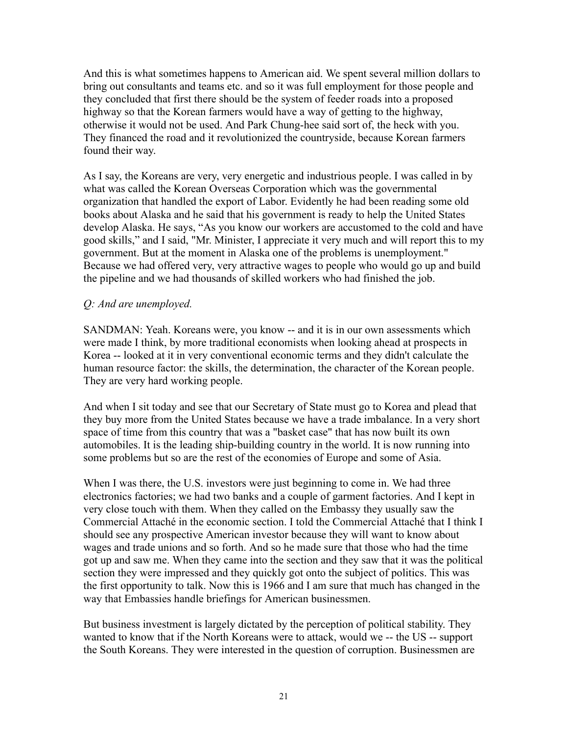And this is what sometimes happens to American aid. We spent several million dollars to bring out consultants and teams etc. and so it was full employment for those people and they concluded that first there should be the system of feeder roads into a proposed highway so that the Korean farmers would have a way of getting to the highway, otherwise it would not be used. And Park Chung-hee said sort of, the heck with you. They financed the road and it revolutionized the countryside, because Korean farmers found their way.

As I say, the Koreans are very, very energetic and industrious people. I was called in by what was called the Korean Overseas Corporation which was the governmental organization that handled the export of Labor. Evidently he had been reading some old books about Alaska and he said that his government is ready to help the United States develop Alaska. He says, "As you know our workers are accustomed to the cold and have good skills," and I said, "Mr. Minister, I appreciate it very much and will report this to my government. But at the moment in Alaska one of the problems is unemployment." Because we had offered very, very attractive wages to people who would go up and build the pipeline and we had thousands of skilled workers who had finished the job.

#### *Q: And are unemployed.*

SANDMAN: Yeah. Koreans were, you know -- and it is in our own assessments which were made I think, by more traditional economists when looking ahead at prospects in Korea -- looked at it in very conventional economic terms and they didn't calculate the human resource factor: the skills, the determination, the character of the Korean people. They are very hard working people.

And when I sit today and see that our Secretary of State must go to Korea and plead that they buy more from the United States because we have a trade imbalance. In a very short space of time from this country that was a "basket case" that has now built its own automobiles. It is the leading ship-building country in the world. It is now running into some problems but so are the rest of the economies of Europe and some of Asia.

When I was there, the U.S. investors were just beginning to come in. We had three electronics factories; we had two banks and a couple of garment factories. And I kept in very close touch with them. When they called on the Embassy they usually saw the Commercial Attaché in the economic section. I told the Commercial Attaché that I think I should see any prospective American investor because they will want to know about wages and trade unions and so forth. And so he made sure that those who had the time got up and saw me. When they came into the section and they saw that it was the political section they were impressed and they quickly got onto the subject of politics. This was the first opportunity to talk. Now this is 1966 and I am sure that much has changed in the way that Embassies handle briefings for American businessmen.

But business investment is largely dictated by the perception of political stability. They wanted to know that if the North Koreans were to attack, would we -- the US -- support the South Koreans. They were interested in the question of corruption. Businessmen are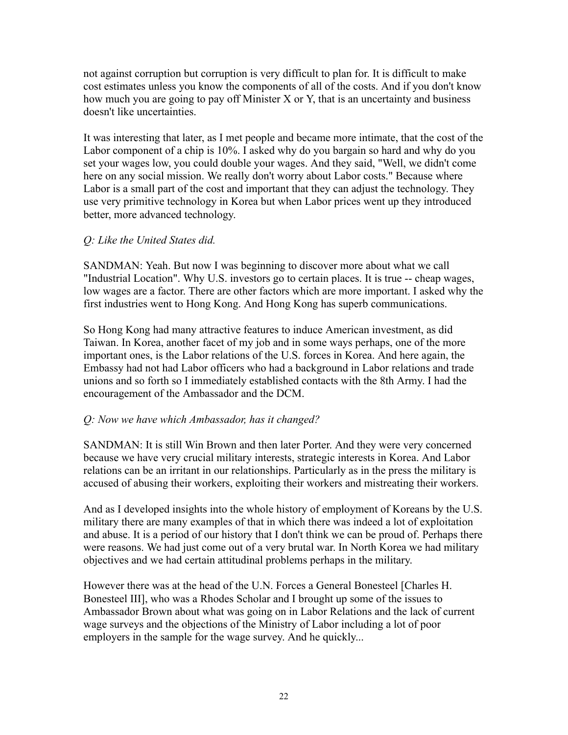not against corruption but corruption is very difficult to plan for. It is difficult to make cost estimates unless you know the components of all of the costs. And if you don't know how much you are going to pay off Minister X or Y, that is an uncertainty and business doesn't like uncertainties.

It was interesting that later, as I met people and became more intimate, that the cost of the Labor component of a chip is 10%. I asked why do you bargain so hard and why do you set your wages low, you could double your wages. And they said, "Well, we didn't come here on any social mission. We really don't worry about Labor costs." Because where Labor is a small part of the cost and important that they can adjust the technology. They use very primitive technology in Korea but when Labor prices went up they introduced better, more advanced technology.

# *Q: Like the United States did.*

SANDMAN: Yeah. But now I was beginning to discover more about what we call "Industrial Location". Why U.S. investors go to certain places. It is true -- cheap wages, low wages are a factor. There are other factors which are more important. I asked why the first industries went to Hong Kong. And Hong Kong has superb communications.

So Hong Kong had many attractive features to induce American investment, as did Taiwan. In Korea, another facet of my job and in some ways perhaps, one of the more important ones, is the Labor relations of the U.S. forces in Korea. And here again, the Embassy had not had Labor officers who had a background in Labor relations and trade unions and so forth so I immediately established contacts with the 8th Army. I had the encouragement of the Ambassador and the DCM.

# *Q: Now we have which Ambassador, has it changed?*

SANDMAN: It is still Win Brown and then later Porter. And they were very concerned because we have very crucial military interests, strategic interests in Korea. And Labor relations can be an irritant in our relationships. Particularly as in the press the military is accused of abusing their workers, exploiting their workers and mistreating their workers.

And as I developed insights into the whole history of employment of Koreans by the U.S. military there are many examples of that in which there was indeed a lot of exploitation and abuse. It is a period of our history that I don't think we can be proud of. Perhaps there were reasons. We had just come out of a very brutal war. In North Korea we had military objectives and we had certain attitudinal problems perhaps in the military.

However there was at the head of the U.N. Forces a General Bonesteel [Charles H. Bonesteel III], who was a Rhodes Scholar and I brought up some of the issues to Ambassador Brown about what was going on in Labor Relations and the lack of current wage surveys and the objections of the Ministry of Labor including a lot of poor employers in the sample for the wage survey. And he quickly...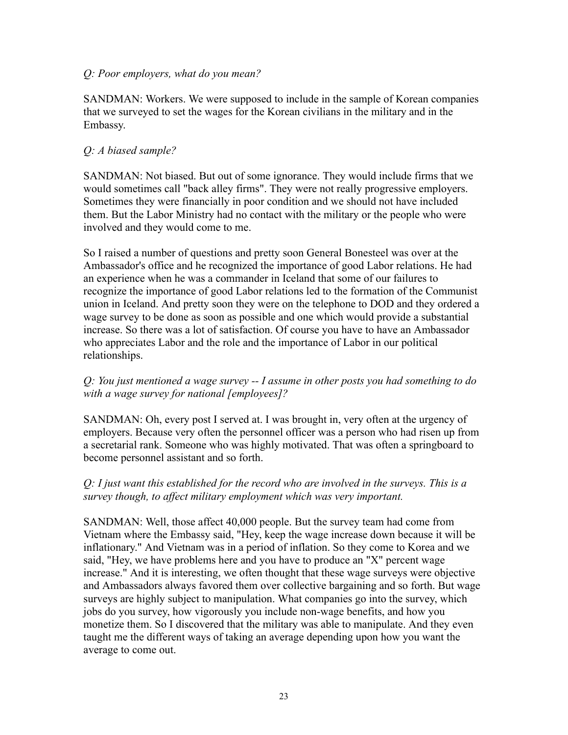#### *Q: Poor employers, what do you mean?*

SANDMAN: Workers. We were supposed to include in the sample of Korean companies that we surveyed to set the wages for the Korean civilians in the military and in the Embassy.

# *Q: A biased sample?*

SANDMAN: Not biased. But out of some ignorance. They would include firms that we would sometimes call "back alley firms". They were not really progressive employers. Sometimes they were financially in poor condition and we should not have included them. But the Labor Ministry had no contact with the military or the people who were involved and they would come to me.

So I raised a number of questions and pretty soon General Bonesteel was over at the Ambassador's office and he recognized the importance of good Labor relations. He had an experience when he was a commander in Iceland that some of our failures to recognize the importance of good Labor relations led to the formation of the Communist union in Iceland. And pretty soon they were on the telephone to DOD and they ordered a wage survey to be done as soon as possible and one which would provide a substantial increase. So there was a lot of satisfaction. Of course you have to have an Ambassador who appreciates Labor and the role and the importance of Labor in our political relationships.

# *Q: You just mentioned a wage survey -- I assume in other posts you had something to do with a wage survey for national [employees]?*

SANDMAN: Oh, every post I served at. I was brought in, very often at the urgency of employers. Because very often the personnel officer was a person who had risen up from a secretarial rank. Someone who was highly motivated. That was often a springboard to become personnel assistant and so forth.

# *Q: I just want this established for the record who are involved in the surveys. This is a survey though, to affect military employment which was very important.*

SANDMAN: Well, those affect 40,000 people. But the survey team had come from Vietnam where the Embassy said, "Hey, keep the wage increase down because it will be inflationary." And Vietnam was in a period of inflation. So they come to Korea and we said, "Hey, we have problems here and you have to produce an "X" percent wage increase." And it is interesting, we often thought that these wage surveys were objective and Ambassadors always favored them over collective bargaining and so forth. But wage surveys are highly subject to manipulation. What companies go into the survey, which jobs do you survey, how vigorously you include non-wage benefits, and how you monetize them. So I discovered that the military was able to manipulate. And they even taught me the different ways of taking an average depending upon how you want the average to come out.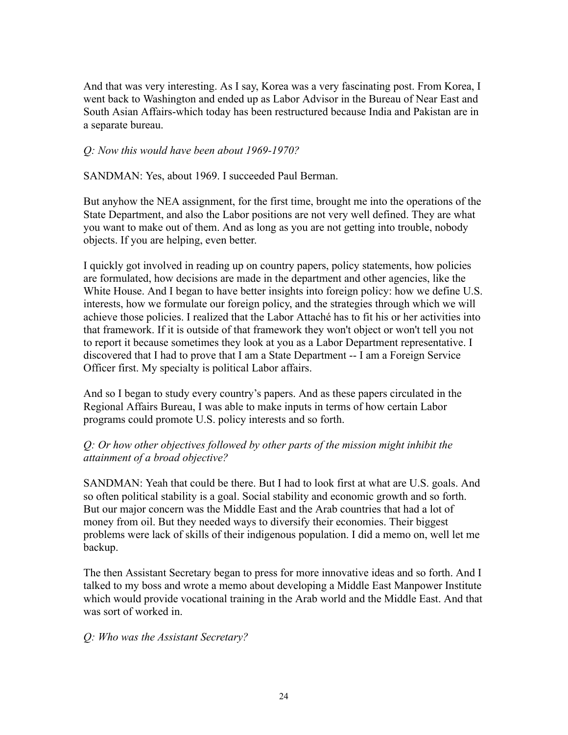And that was very interesting. As I say, Korea was a very fascinating post. From Korea, I went back to Washington and ended up as Labor Advisor in the Bureau of Near East and South Asian Affairs-which today has been restructured because India and Pakistan are in a separate bureau.

#### *Q: Now this would have been about 1969-1970?*

SANDMAN: Yes, about 1969. I succeeded Paul Berman.

But anyhow the NEA assignment, for the first time, brought me into the operations of the State Department, and also the Labor positions are not very well defined. They are what you want to make out of them. And as long as you are not getting into trouble, nobody objects. If you are helping, even better.

I quickly got involved in reading up on country papers, policy statements, how policies are formulated, how decisions are made in the department and other agencies, like the White House. And I began to have better insights into foreign policy: how we define U.S. interests, how we formulate our foreign policy, and the strategies through which we will achieve those policies. I realized that the Labor Attaché has to fit his or her activities into that framework. If it is outside of that framework they won't object or won't tell you not to report it because sometimes they look at you as a Labor Department representative. I discovered that I had to prove that I am a State Department -- I am a Foreign Service Officer first. My specialty is political Labor affairs.

And so I began to study every country's papers. And as these papers circulated in the Regional Affairs Bureau, I was able to make inputs in terms of how certain Labor programs could promote U.S. policy interests and so forth.

# *Q: Or how other objectives followed by other parts of the mission might inhibit the attainment of a broad objective?*

SANDMAN: Yeah that could be there. But I had to look first at what are U.S. goals. And so often political stability is a goal. Social stability and economic growth and so forth. But our major concern was the Middle East and the Arab countries that had a lot of money from oil. But they needed ways to diversify their economies. Their biggest problems were lack of skills of their indigenous population. I did a memo on, well let me backup.

The then Assistant Secretary began to press for more innovative ideas and so forth. And I talked to my boss and wrote a memo about developing a Middle East Manpower Institute which would provide vocational training in the Arab world and the Middle East. And that was sort of worked in.

#### *Q: Who was the Assistant Secretary?*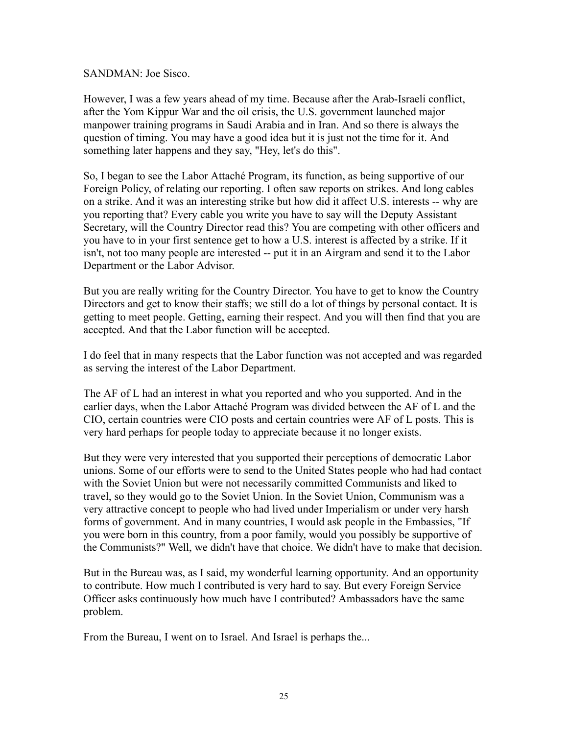SANDMAN: Joe Sisco.

However, I was a few years ahead of my time. Because after the Arab-Israeli conflict, after the Yom Kippur War and the oil crisis, the U.S. government launched major manpower training programs in Saudi Arabia and in Iran. And so there is always the question of timing. You may have a good idea but it is just not the time for it. And something later happens and they say, "Hey, let's do this".

So, I began to see the Labor Attaché Program, its function, as being supportive of our Foreign Policy, of relating our reporting. I often saw reports on strikes. And long cables on a strike. And it was an interesting strike but how did it affect U.S. interests -- why are you reporting that? Every cable you write you have to say will the Deputy Assistant Secretary, will the Country Director read this? You are competing with other officers and you have to in your first sentence get to how a U.S. interest is affected by a strike. If it isn't, not too many people are interested -- put it in an Airgram and send it to the Labor Department or the Labor Advisor.

But you are really writing for the Country Director. You have to get to know the Country Directors and get to know their staffs; we still do a lot of things by personal contact. It is getting to meet people. Getting, earning their respect. And you will then find that you are accepted. And that the Labor function will be accepted.

I do feel that in many respects that the Labor function was not accepted and was regarded as serving the interest of the Labor Department.

The AF of L had an interest in what you reported and who you supported. And in the earlier days, when the Labor Attaché Program was divided between the AF of L and the CIO, certain countries were CIO posts and certain countries were AF of L posts. This is very hard perhaps for people today to appreciate because it no longer exists.

But they were very interested that you supported their perceptions of democratic Labor unions. Some of our efforts were to send to the United States people who had had contact with the Soviet Union but were not necessarily committed Communists and liked to travel, so they would go to the Soviet Union. In the Soviet Union, Communism was a very attractive concept to people who had lived under Imperialism or under very harsh forms of government. And in many countries, I would ask people in the Embassies, "If you were born in this country, from a poor family, would you possibly be supportive of the Communists?" Well, we didn't have that choice. We didn't have to make that decision.

But in the Bureau was, as I said, my wonderful learning opportunity. And an opportunity to contribute. How much I contributed is very hard to say. But every Foreign Service Officer asks continuously how much have I contributed? Ambassadors have the same problem.

From the Bureau, I went on to Israel. And Israel is perhaps the...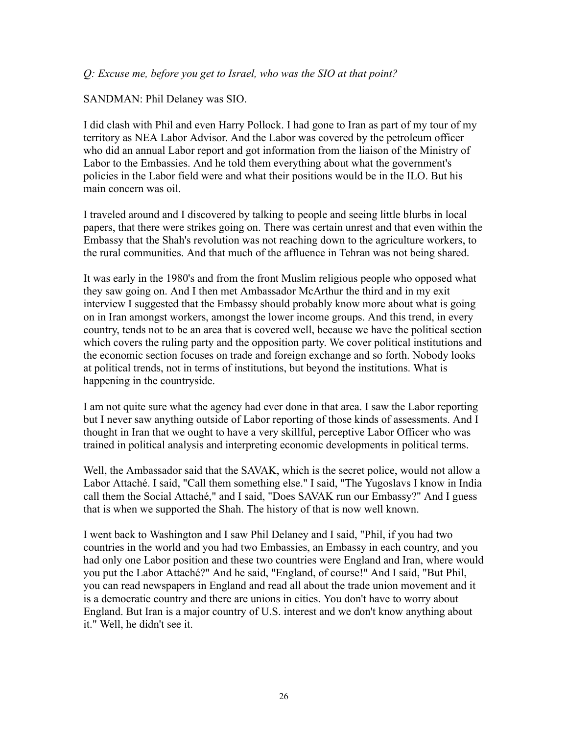#### *Q: Excuse me, before you get to Israel, who was the SIO at that point?*

#### SANDMAN: Phil Delaney was SIO.

I did clash with Phil and even Harry Pollock. I had gone to Iran as part of my tour of my territory as NEA Labor Advisor. And the Labor was covered by the petroleum officer who did an annual Labor report and got information from the liaison of the Ministry of Labor to the Embassies. And he told them everything about what the government's policies in the Labor field were and what their positions would be in the ILO. But his main concern was oil.

I traveled around and I discovered by talking to people and seeing little blurbs in local papers, that there were strikes going on. There was certain unrest and that even within the Embassy that the Shah's revolution was not reaching down to the agriculture workers, to the rural communities. And that much of the affluence in Tehran was not being shared.

It was early in the 1980's and from the front Muslim religious people who opposed what they saw going on. And I then met Ambassador McArthur the third and in my exit interview I suggested that the Embassy should probably know more about what is going on in Iran amongst workers, amongst the lower income groups. And this trend, in every country, tends not to be an area that is covered well, because we have the political section which covers the ruling party and the opposition party. We cover political institutions and the economic section focuses on trade and foreign exchange and so forth. Nobody looks at political trends, not in terms of institutions, but beyond the institutions. What is happening in the countryside.

I am not quite sure what the agency had ever done in that area. I saw the Labor reporting but I never saw anything outside of Labor reporting of those kinds of assessments. And I thought in Iran that we ought to have a very skillful, perceptive Labor Officer who was trained in political analysis and interpreting economic developments in political terms.

Well, the Ambassador said that the SAVAK, which is the secret police, would not allow a Labor Attaché. I said, "Call them something else." I said, "The Yugoslavs I know in India call them the Social Attaché," and I said, "Does SAVAK run our Embassy?" And I guess that is when we supported the Shah. The history of that is now well known.

I went back to Washington and I saw Phil Delaney and I said, "Phil, if you had two countries in the world and you had two Embassies, an Embassy in each country, and you had only one Labor position and these two countries were England and Iran, where would you put the Labor Attaché?" And he said, "England, of course!" And I said, "But Phil, you can read newspapers in England and read all about the trade union movement and it is a democratic country and there are unions in cities. You don't have to worry about England. But Iran is a major country of U.S. interest and we don't know anything about it." Well, he didn't see it.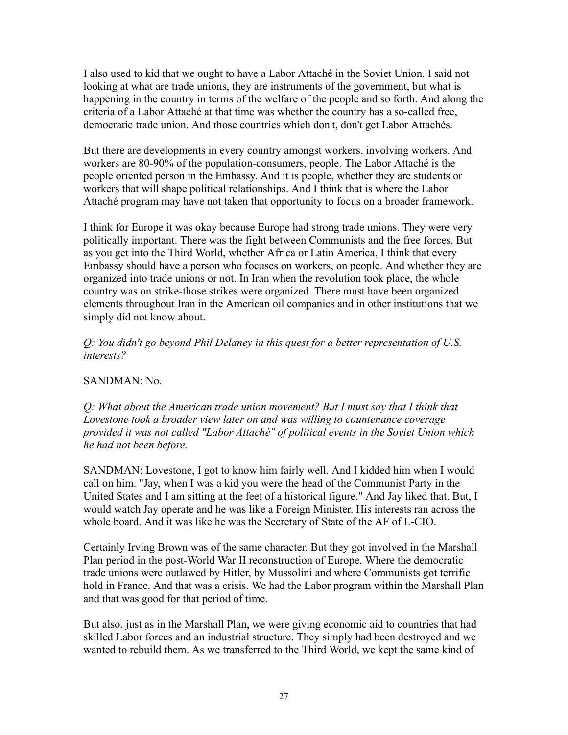I also used to kid that we ought to have a Labor Attaché in the Soviet Union. I said not looking at what are trade unions, they are instruments of the government, but what is happening in the country in terms of the welfare of the people and so forth. And along the criteria of a Labor Attaché at that time was whether the country has a so-called free, democratic trade union. And those countries which don't, don't get Labor Attachés.

But there are developments in every country amongst workers, involving workers. And workers are 80-90% of the population-consumers, people. The Labor Attaché is the people oriented person in the Embassy. And it is people, whether they are students or workers that will shape political relationships. And I think that is where the Labor Attaché program may have not taken that opportunity to focus on a broader framework.

I think for Europe it was okay because Europe had strong trade unions. They were very politically important. There was the fight between Communists and the free forces. But as you get into the Third World, whether Africa or Latin America, I think that every Embassy should have a person who focuses on workers, on people. And whether they are organized into trade unions or not. In Iran when the revolution took place, the whole country was on strike-those strikes were organized. There must have been organized elements throughout Iran in the American oil companies and in other institutions that we simply did not know about.

*Q: You didn't go beyond Phil Delaney in this quest for a better representation of U.S. interests?*

# SANDMAN: No.

*Q: What about the American trade union movement? But I must say that I think that Lovestone took a broader view later on and was willing to countenance coverage provided it was not called "Labor Attaché" of political events in the Soviet Union which he had not been before.*

SANDMAN: Lovestone, I got to know him fairly well. And I kidded him when I would call on him. "Jay, when I was a kid you were the head of the Communist Party in the United States and I am sitting at the feet of a historical figure." And Jay liked that. But, I would watch Jay operate and he was like a Foreign Minister. His interests ran across the whole board. And it was like he was the Secretary of State of the AF of L-CIO.

Certainly Irving Brown was of the same character. But they got involved in the Marshall Plan period in the post-World War II reconstruction of Europe. Where the democratic trade unions were outlawed by Hitler, by Mussolini and where Communists got terrific hold in France. And that was a crisis. We had the Labor program within the Marshall Plan and that was good for that period of time.

But also, just as in the Marshall Plan, we were giving economic aid to countries that had skilled Labor forces and an industrial structure. They simply had been destroyed and we wanted to rebuild them. As we transferred to the Third World, we kept the same kind of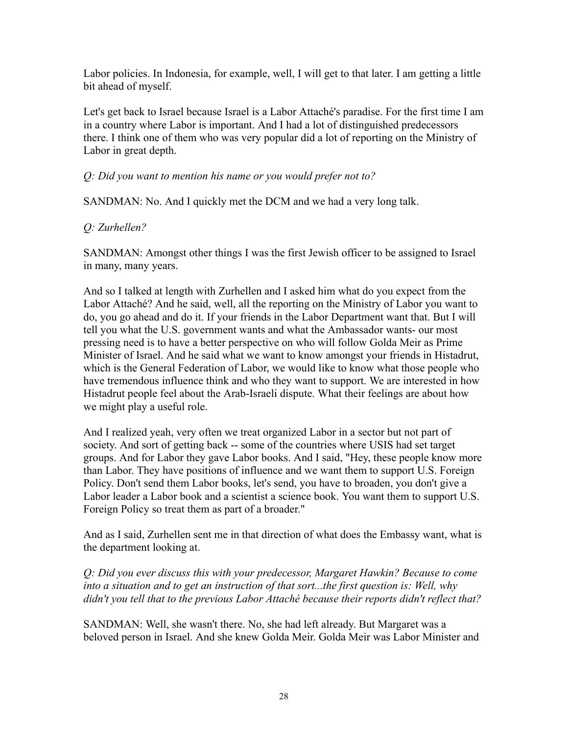Labor policies. In Indonesia, for example, well, I will get to that later. I am getting a little bit ahead of myself.

Let's get back to Israel because Israel is a Labor Attaché's paradise. For the first time I am in a country where Labor is important. And I had a lot of distinguished predecessors there. I think one of them who was very popular did a lot of reporting on the Ministry of Labor in great depth.

# *Q: Did you want to mention his name or you would prefer not to?*

SANDMAN: No. And I quickly met the DCM and we had a very long talk.

# *Q: Zurhellen?*

SANDMAN: Amongst other things I was the first Jewish officer to be assigned to Israel in many, many years.

And so I talked at length with Zurhellen and I asked him what do you expect from the Labor Attaché? And he said, well, all the reporting on the Ministry of Labor you want to do, you go ahead and do it. If your friends in the Labor Department want that. But I will tell you what the U.S. government wants and what the Ambassador wants- our most pressing need is to have a better perspective on who will follow Golda Meir as Prime Minister of Israel. And he said what we want to know amongst your friends in Histadrut, which is the General Federation of Labor, we would like to know what those people who have tremendous influence think and who they want to support. We are interested in how Histadrut people feel about the Arab-Israeli dispute. What their feelings are about how we might play a useful role.

And I realized yeah, very often we treat organized Labor in a sector but not part of society. And sort of getting back -- some of the countries where USIS had set target groups. And for Labor they gave Labor books. And I said, "Hey, these people know more than Labor. They have positions of influence and we want them to support U.S. Foreign Policy. Don't send them Labor books, let's send, you have to broaden, you don't give a Labor leader a Labor book and a scientist a science book. You want them to support U.S. Foreign Policy so treat them as part of a broader."

And as I said, Zurhellen sent me in that direction of what does the Embassy want, what is the department looking at.

*Q: Did you ever discuss this with your predecessor, Margaret Hawkin? Because to come into a situation and to get an instruction of that sort...the first question is: Well, why didn't you tell that to the previous Labor Attaché because their reports didn't reflect that?*

SANDMAN: Well, she wasn't there. No, she had left already. But Margaret was a beloved person in Israel. And she knew Golda Meir. Golda Meir was Labor Minister and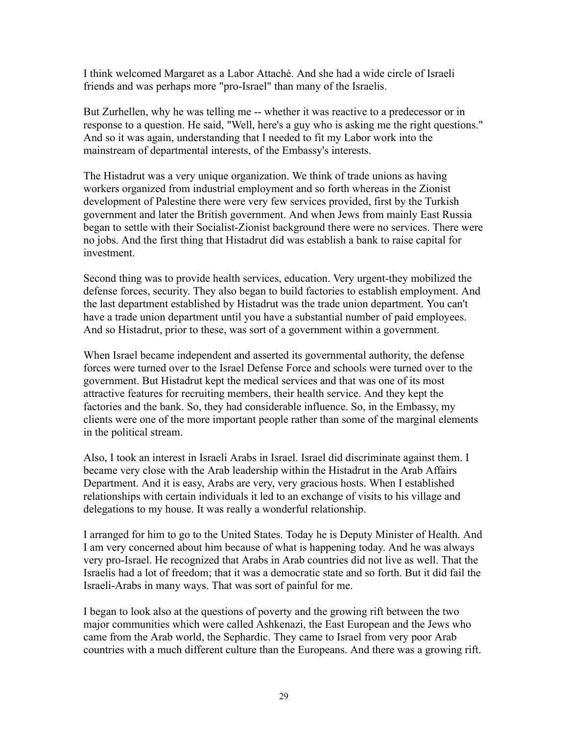I think welcomed Margaret as a Labor Attaché. And she had a wide circle of Israeli friends and was perhaps more "pro-Israel" than many of the Israelis.

But Zurhellen, why he was telling me -- whether it was reactive to a predecessor or in response to a question. He said, "Well, here's a guy who is asking me the right questions." And so it was again, understanding that I needed to fit my Labor work into the mainstream of departmental interests, of the Embassy's interests.

The Histadrut was a very unique organization. We think of trade unions as having workers organized from industrial employment and so forth whereas in the Zionist development of Palestine there were very few services provided, first by the Turkish government and later the British government. And when Jews from mainly East Russia began to settle with their Socialist-Zionist background there were no services. There were no jobs. And the first thing that Histadrut did was establish a bank to raise capital for investment.

Second thing was to provide health services, education. Very urgent-they mobilized the defense forces, security. They also began to build factories to establish employment. And the last department established by Histadrut was the trade union department. You can't have a trade union department until you have a substantial number of paid employees. And so Histadrut, prior to these, was sort of a government within a government.

When Israel became independent and asserted its governmental authority, the defense forces were turned over to the Israel Defense Force and schools were turned over to the government. But Histadrut kept the medical services and that was one of its most attractive features for recruiting members, their health service. And they kept the factories and the bank. So, they had considerable influence. So, in the Embassy, my clients were one of the more important people rather than some of the marginal elements in the political stream.

Also, I took an interest in Israeli Arabs in Israel. Israel did discriminate against them. I became very close with the Arab leadership within the Histadrut in the Arab Affairs Department. And it is easy, Arabs are very, very gracious hosts. When I established relationships with certain individuals it led to an exchange of visits to his village and delegations to my house. It was really a wonderful relationship.

I arranged for him to go to the United States. Today he is Deputy Minister of Health. And I am very concerned about him because of what is happening today. And he was always very pro-Israel. He recognized that Arabs in Arab countries did not live as well. That the Israelis had a lot of freedom; that it was a democratic state and so forth. But it did fail the Israeli-Arabs in many ways. That was sort of painful for me.

I began to look also at the questions of poverty and the growing rift between the two major communities which were called Ashkenazi, the East European and the Jews who came from the Arab world, the Sephardic. They came to Israel from very poor Arab countries with a much different culture than the Europeans. And there was a growing rift.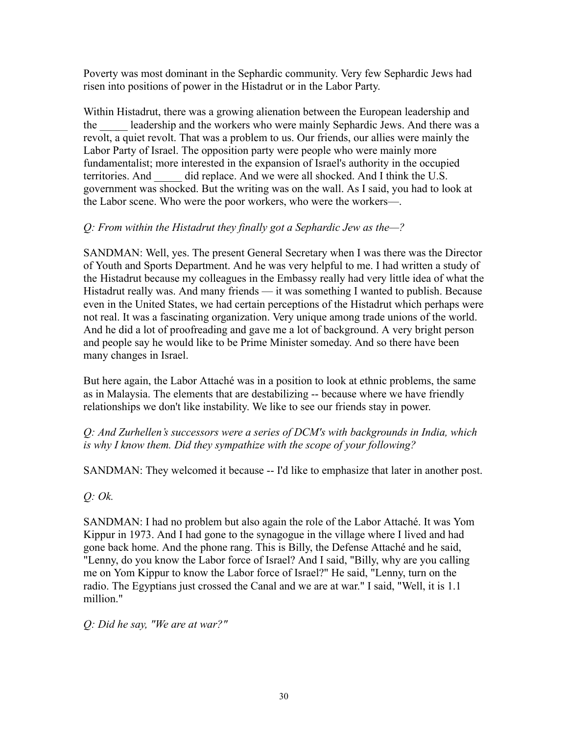Poverty was most dominant in the Sephardic community. Very few Sephardic Jews had risen into positions of power in the Histadrut or in the Labor Party.

Within Histadrut, there was a growing alienation between the European leadership and the leadership and the workers who were mainly Sephardic Jews. And there was a revolt, a quiet revolt. That was a problem to us. Our friends, our allies were mainly the Labor Party of Israel. The opposition party were people who were mainly more fundamentalist; more interested in the expansion of Israel's authority in the occupied territories. And did replace. And we were all shocked. And I think the U.S. government was shocked. But the writing was on the wall. As I said, you had to look at the Labor scene. Who were the poor workers, who were the workers—.

# *Q: From within the Histadrut they finally got a Sephardic Jew as the—?*

SANDMAN: Well, yes. The present General Secretary when I was there was the Director of Youth and Sports Department. And he was very helpful to me. I had written a study of the Histadrut because my colleagues in the Embassy really had very little idea of what the Histadrut really was. And many friends — it was something I wanted to publish. Because even in the United States, we had certain perceptions of the Histadrut which perhaps were not real. It was a fascinating organization. Very unique among trade unions of the world. And he did a lot of proofreading and gave me a lot of background. A very bright person and people say he would like to be Prime Minister someday. And so there have been many changes in Israel.

But here again, the Labor Attaché was in a position to look at ethnic problems, the same as in Malaysia. The elements that are destabilizing -- because where we have friendly relationships we don't like instability. We like to see our friends stay in power.

# *Q: And Zurhellen's successors were a series of DCM's with backgrounds in India, which is why I know them. Did they sympathize with the scope of your following?*

SANDMAN: They welcomed it because -- I'd like to emphasize that later in another post.

*Q: Ok.*

SANDMAN: I had no problem but also again the role of the Labor Attaché. It was Yom Kippur in 1973. And I had gone to the synagogue in the village where I lived and had gone back home. And the phone rang. This is Billy, the Defense Attaché and he said, "Lenny, do you know the Labor force of Israel? And I said, "Billy, why are you calling me on Yom Kippur to know the Labor force of Israel?" He said, "Lenny, turn on the radio. The Egyptians just crossed the Canal and we are at war." I said, "Well, it is 1.1 million."

*Q: Did he say, "We are at war?"*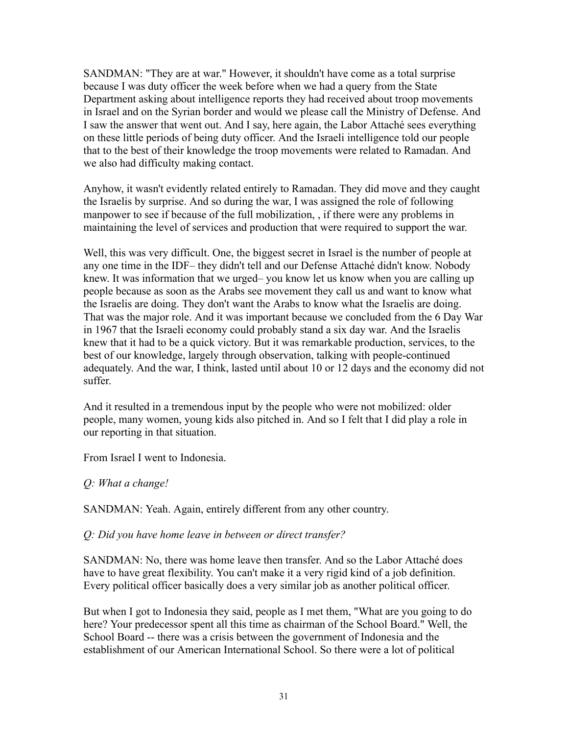SANDMAN: "They are at war." However, it shouldn't have come as a total surprise because I was duty officer the week before when we had a query from the State Department asking about intelligence reports they had received about troop movements in Israel and on the Syrian border and would we please call the Ministry of Defense. And I saw the answer that went out. And I say, here again, the Labor Attaché sees everything on these little periods of being duty officer. And the Israeli intelligence told our people that to the best of their knowledge the troop movements were related to Ramadan. And we also had difficulty making contact.

Anyhow, it wasn't evidently related entirely to Ramadan. They did move and they caught the Israelis by surprise. And so during the war, I was assigned the role of following manpower to see if because of the full mobilization, , if there were any problems in maintaining the level of services and production that were required to support the war.

Well, this was very difficult. One, the biggest secret in Israel is the number of people at any one time in the IDF– they didn't tell and our Defense Attaché didn't know. Nobody knew. It was information that we urged– you know let us know when you are calling up people because as soon as the Arabs see movement they call us and want to know what the Israelis are doing. They don't want the Arabs to know what the Israelis are doing. That was the major role. And it was important because we concluded from the 6 Day War in 1967 that the Israeli economy could probably stand a six day war. And the Israelis knew that it had to be a quick victory. But it was remarkable production, services, to the best of our knowledge, largely through observation, talking with people-continued adequately. And the war, I think, lasted until about 10 or 12 days and the economy did not suffer.

And it resulted in a tremendous input by the people who were not mobilized: older people, many women, young kids also pitched in. And so I felt that I did play a role in our reporting in that situation.

From Israel I went to Indonesia.

#### *Q: What a change!*

SANDMAN: Yeah. Again, entirely different from any other country.

#### *Q: Did you have home leave in between or direct transfer?*

SANDMAN: No, there was home leave then transfer. And so the Labor Attaché does have to have great flexibility. You can't make it a very rigid kind of a job definition. Every political officer basically does a very similar job as another political officer.

But when I got to Indonesia they said, people as I met them, "What are you going to do here? Your predecessor spent all this time as chairman of the School Board." Well, the School Board -- there was a crisis between the government of Indonesia and the establishment of our American International School. So there were a lot of political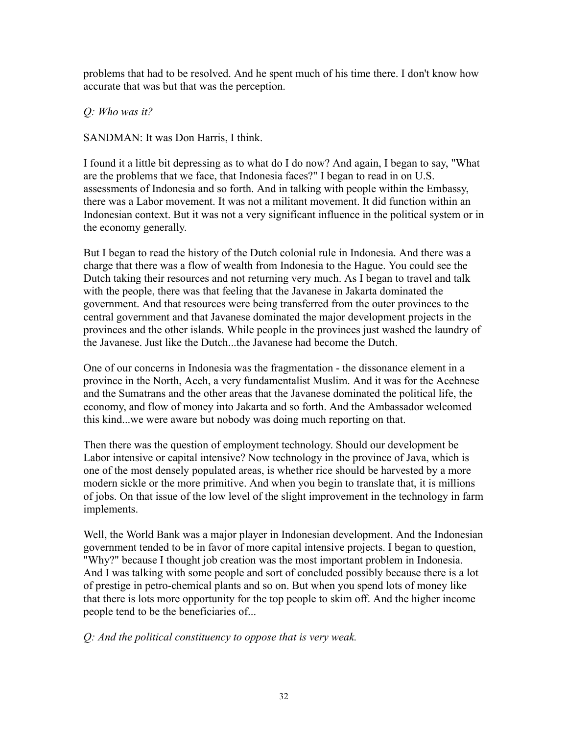problems that had to be resolved. And he spent much of his time there. I don't know how accurate that was but that was the perception.

*Q: Who was it?*

SANDMAN: It was Don Harris, I think.

I found it a little bit depressing as to what do I do now? And again, I began to say, "What are the problems that we face, that Indonesia faces?" I began to read in on U.S. assessments of Indonesia and so forth. And in talking with people within the Embassy, there was a Labor movement. It was not a militant movement. It did function within an Indonesian context. But it was not a very significant influence in the political system or in the economy generally.

But I began to read the history of the Dutch colonial rule in Indonesia. And there was a charge that there was a flow of wealth from Indonesia to the Hague. You could see the Dutch taking their resources and not returning very much. As I began to travel and talk with the people, there was that feeling that the Javanese in Jakarta dominated the government. And that resources were being transferred from the outer provinces to the central government and that Javanese dominated the major development projects in the provinces and the other islands. While people in the provinces just washed the laundry of the Javanese. Just like the Dutch...the Javanese had become the Dutch.

One of our concerns in Indonesia was the fragmentation - the dissonance element in a province in the North, Aceh, a very fundamentalist Muslim. And it was for the Acehnese and the Sumatrans and the other areas that the Javanese dominated the political life, the economy, and flow of money into Jakarta and so forth. And the Ambassador welcomed this kind...we were aware but nobody was doing much reporting on that.

Then there was the question of employment technology. Should our development be Labor intensive or capital intensive? Now technology in the province of Java, which is one of the most densely populated areas, is whether rice should be harvested by a more modern sickle or the more primitive. And when you begin to translate that, it is millions of jobs. On that issue of the low level of the slight improvement in the technology in farm implements.

Well, the World Bank was a major player in Indonesian development. And the Indonesian government tended to be in favor of more capital intensive projects. I began to question, "Why?" because I thought job creation was the most important problem in Indonesia. And I was talking with some people and sort of concluded possibly because there is a lot of prestige in petro-chemical plants and so on. But when you spend lots of money like that there is lots more opportunity for the top people to skim off. And the higher income people tend to be the beneficiaries of...

*Q: And the political constituency to oppose that is very weak.*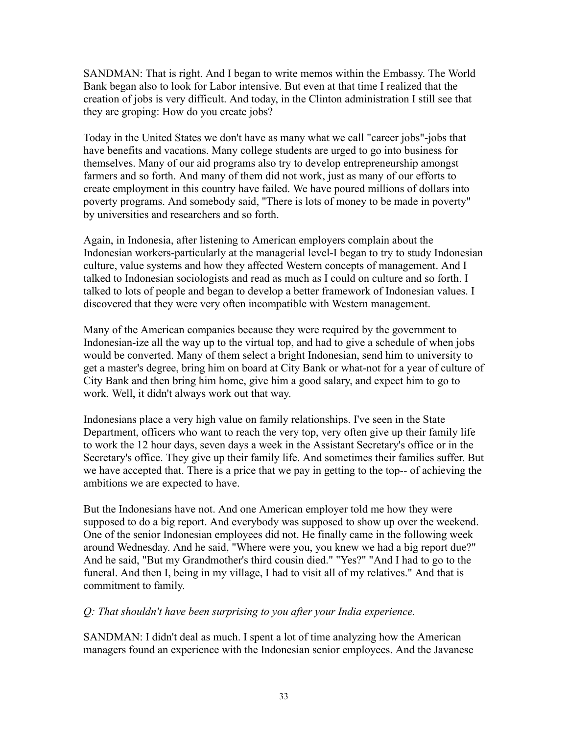SANDMAN: That is right. And I began to write memos within the Embassy. The World Bank began also to look for Labor intensive. But even at that time I realized that the creation of jobs is very difficult. And today, in the Clinton administration I still see that they are groping: How do you create jobs?

Today in the United States we don't have as many what we call "career jobs"-jobs that have benefits and vacations. Many college students are urged to go into business for themselves. Many of our aid programs also try to develop entrepreneurship amongst farmers and so forth. And many of them did not work, just as many of our efforts to create employment in this country have failed. We have poured millions of dollars into poverty programs. And somebody said, "There is lots of money to be made in poverty" by universities and researchers and so forth.

Again, in Indonesia, after listening to American employers complain about the Indonesian workers-particularly at the managerial level-I began to try to study Indonesian culture, value systems and how they affected Western concepts of management. And I talked to Indonesian sociologists and read as much as I could on culture and so forth. I talked to lots of people and began to develop a better framework of Indonesian values. I discovered that they were very often incompatible with Western management.

Many of the American companies because they were required by the government to Indonesian-ize all the way up to the virtual top, and had to give a schedule of when jobs would be converted. Many of them select a bright Indonesian, send him to university to get a master's degree, bring him on board at City Bank or what-not for a year of culture of City Bank and then bring him home, give him a good salary, and expect him to go to work. Well, it didn't always work out that way.

Indonesians place a very high value on family relationships. I've seen in the State Department, officers who want to reach the very top, very often give up their family life to work the 12 hour days, seven days a week in the Assistant Secretary's office or in the Secretary's office. They give up their family life. And sometimes their families suffer. But we have accepted that. There is a price that we pay in getting to the top-- of achieving the ambitions we are expected to have.

But the Indonesians have not. And one American employer told me how they were supposed to do a big report. And everybody was supposed to show up over the weekend. One of the senior Indonesian employees did not. He finally came in the following week around Wednesday. And he said, "Where were you, you knew we had a big report due?" And he said, "But my Grandmother's third cousin died." "Yes?" "And I had to go to the funeral. And then I, being in my village, I had to visit all of my relatives." And that is commitment to family.

# *Q: That shouldn't have been surprising to you after your India experience.*

SANDMAN: I didn't deal as much. I spent a lot of time analyzing how the American managers found an experience with the Indonesian senior employees. And the Javanese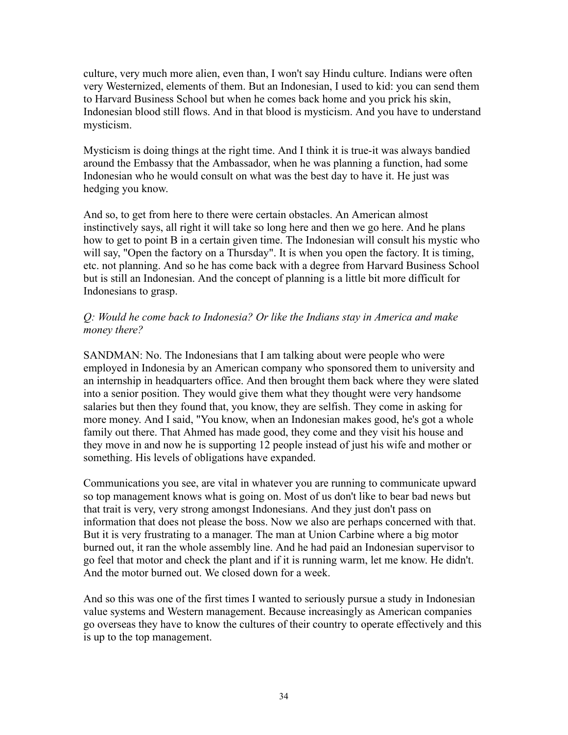culture, very much more alien, even than, I won't say Hindu culture. Indians were often very Westernized, elements of them. But an Indonesian, I used to kid: you can send them to Harvard Business School but when he comes back home and you prick his skin, Indonesian blood still flows. And in that blood is mysticism. And you have to understand mysticism.

Mysticism is doing things at the right time. And I think it is true-it was always bandied around the Embassy that the Ambassador, when he was planning a function, had some Indonesian who he would consult on what was the best day to have it. He just was hedging you know.

And so, to get from here to there were certain obstacles. An American almost instinctively says, all right it will take so long here and then we go here. And he plans how to get to point B in a certain given time. The Indonesian will consult his mystic who will say, "Open the factory on a Thursday". It is when you open the factory. It is timing, etc. not planning. And so he has come back with a degree from Harvard Business School but is still an Indonesian. And the concept of planning is a little bit more difficult for Indonesians to grasp.

#### *Q: Would he come back to Indonesia? Or like the Indians stay in America and make money there?*

SANDMAN: No. The Indonesians that I am talking about were people who were employed in Indonesia by an American company who sponsored them to university and an internship in headquarters office. And then brought them back where they were slated into a senior position. They would give them what they thought were very handsome salaries but then they found that, you know, they are selfish. They come in asking for more money. And I said, "You know, when an Indonesian makes good, he's got a whole family out there. That Ahmed has made good, they come and they visit his house and they move in and now he is supporting 12 people instead of just his wife and mother or something. His levels of obligations have expanded.

Communications you see, are vital in whatever you are running to communicate upward so top management knows what is going on. Most of us don't like to bear bad news but that trait is very, very strong amongst Indonesians. And they just don't pass on information that does not please the boss. Now we also are perhaps concerned with that. But it is very frustrating to a manager. The man at Union Carbine where a big motor burned out, it ran the whole assembly line. And he had paid an Indonesian supervisor to go feel that motor and check the plant and if it is running warm, let me know. He didn't. And the motor burned out. We closed down for a week.

And so this was one of the first times I wanted to seriously pursue a study in Indonesian value systems and Western management. Because increasingly as American companies go overseas they have to know the cultures of their country to operate effectively and this is up to the top management.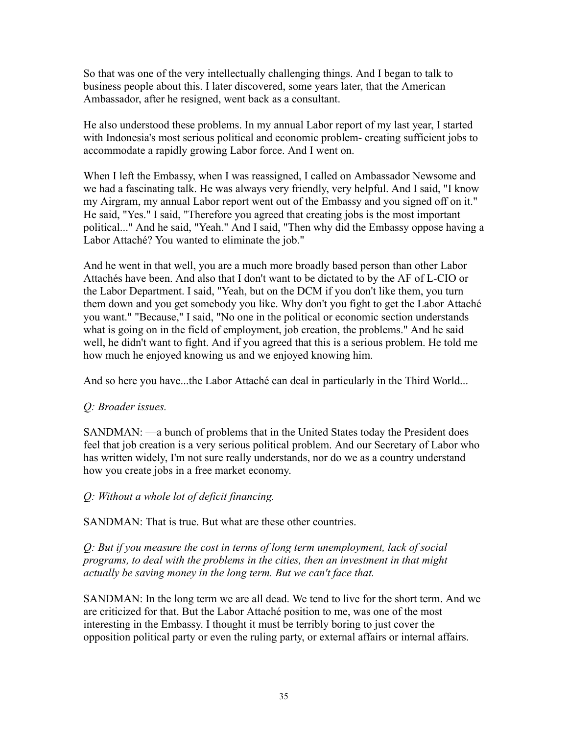So that was one of the very intellectually challenging things. And I began to talk to business people about this. I later discovered, some years later, that the American Ambassador, after he resigned, went back as a consultant.

He also understood these problems. In my annual Labor report of my last year, I started with Indonesia's most serious political and economic problem- creating sufficient jobs to accommodate a rapidly growing Labor force. And I went on.

When I left the Embassy, when I was reassigned, I called on Ambassador Newsome and we had a fascinating talk. He was always very friendly, very helpful. And I said, "I know my Airgram, my annual Labor report went out of the Embassy and you signed off on it." He said, "Yes." I said, "Therefore you agreed that creating jobs is the most important political..." And he said, "Yeah." And I said, "Then why did the Embassy oppose having a Labor Attaché? You wanted to eliminate the job."

And he went in that well, you are a much more broadly based person than other Labor Attachés have been. And also that I don't want to be dictated to by the AF of L-CIO or the Labor Department. I said, "Yeah, but on the DCM if you don't like them, you turn them down and you get somebody you like. Why don't you fight to get the Labor Attaché you want." "Because," I said, "No one in the political or economic section understands what is going on in the field of employment, job creation, the problems." And he said well, he didn't want to fight. And if you agreed that this is a serious problem. He told me how much he enjoyed knowing us and we enjoyed knowing him.

And so here you have...the Labor Attaché can deal in particularly in the Third World...

# *Q: Broader issues.*

SANDMAN: —a bunch of problems that in the United States today the President does feel that job creation is a very serious political problem. And our Secretary of Labor who has written widely, I'm not sure really understands, nor do we as a country understand how you create jobs in a free market economy.

# *Q: Without a whole lot of deficit financing.*

SANDMAN: That is true. But what are these other countries.

*Q: But if you measure the cost in terms of long term unemployment, lack of social programs, to deal with the problems in the cities, then an investment in that might actually be saving money in the long term. But we can't face that.*

SANDMAN: In the long term we are all dead. We tend to live for the short term. And we are criticized for that. But the Labor Attaché position to me, was one of the most interesting in the Embassy. I thought it must be terribly boring to just cover the opposition political party or even the ruling party, or external affairs or internal affairs.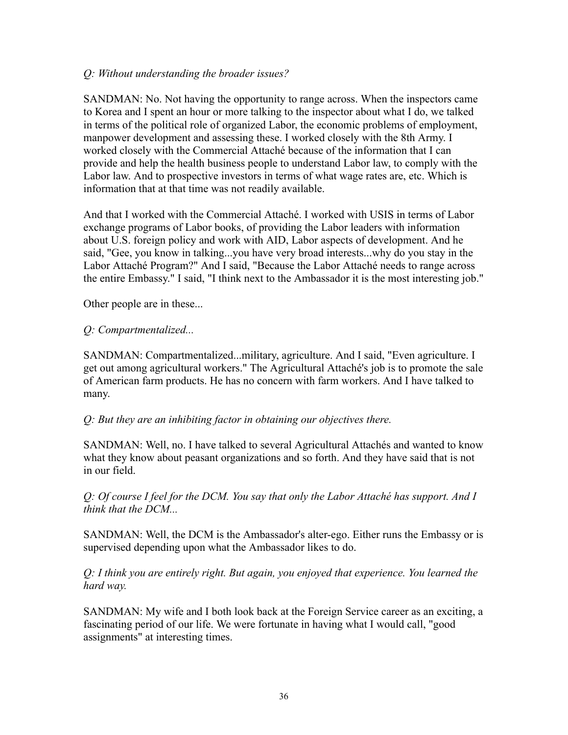#### *Q: Without understanding the broader issues?*

SANDMAN: No. Not having the opportunity to range across. When the inspectors came to Korea and I spent an hour or more talking to the inspector about what I do, we talked in terms of the political role of organized Labor, the economic problems of employment, manpower development and assessing these. I worked closely with the 8th Army. I worked closely with the Commercial Attaché because of the information that I can provide and help the health business people to understand Labor law, to comply with the Labor law. And to prospective investors in terms of what wage rates are, etc. Which is information that at that time was not readily available.

And that I worked with the Commercial Attaché. I worked with USIS in terms of Labor exchange programs of Labor books, of providing the Labor leaders with information about U.S. foreign policy and work with AID, Labor aspects of development. And he said, "Gee, you know in talking...you have very broad interests...why do you stay in the Labor Attaché Program?" And I said, "Because the Labor Attaché needs to range across the entire Embassy." I said, "I think next to the Ambassador it is the most interesting job."

Other people are in these...

# *Q: Compartmentalized...*

SANDMAN: Compartmentalized...military, agriculture. And I said, "Even agriculture. I get out among agricultural workers." The Agricultural Attaché's job is to promote the sale of American farm products. He has no concern with farm workers. And I have talked to many.

# *Q: But they are an inhibiting factor in obtaining our objectives there.*

SANDMAN: Well, no. I have talked to several Agricultural Attachés and wanted to know what they know about peasant organizations and so forth. And they have said that is not in our field.

*Q: Of course I feel for the DCM. You say that only the Labor Attaché has support. And I think that the DCM...*

SANDMAN: Well, the DCM is the Ambassador's alter-ego. Either runs the Embassy or is supervised depending upon what the Ambassador likes to do.

*Q: I think you are entirely right. But again, you enjoyed that experience. You learned the hard way.*

SANDMAN: My wife and I both look back at the Foreign Service career as an exciting, a fascinating period of our life. We were fortunate in having what I would call, "good assignments" at interesting times.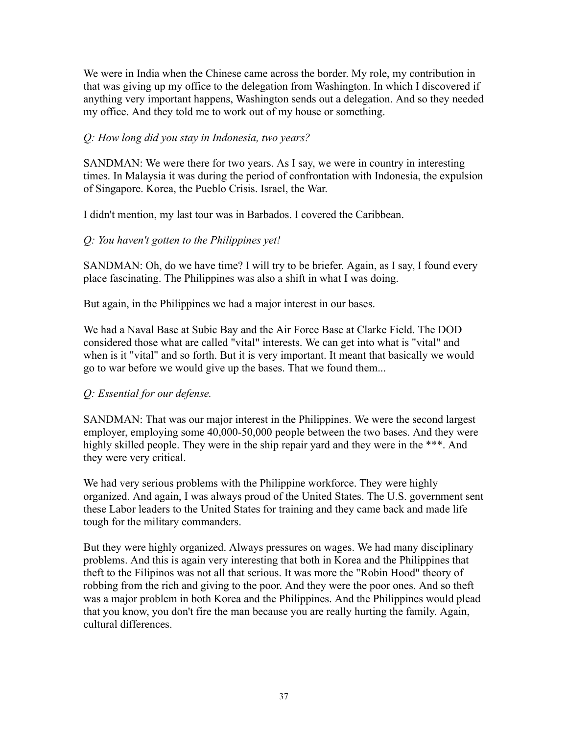We were in India when the Chinese came across the border. My role, my contribution in that was giving up my office to the delegation from Washington. In which I discovered if anything very important happens, Washington sends out a delegation. And so they needed my office. And they told me to work out of my house or something.

# *Q: How long did you stay in Indonesia, two years?*

SANDMAN: We were there for two years. As I say, we were in country in interesting times. In Malaysia it was during the period of confrontation with Indonesia, the expulsion of Singapore. Korea, the Pueblo Crisis. Israel, the War.

I didn't mention, my last tour was in Barbados. I covered the Caribbean.

# *Q: You haven't gotten to the Philippines yet!*

SANDMAN: Oh, do we have time? I will try to be briefer. Again, as I say, I found every place fascinating. The Philippines was also a shift in what I was doing.

But again, in the Philippines we had a major interest in our bases.

We had a Naval Base at Subic Bay and the Air Force Base at Clarke Field. The DOD considered those what are called "vital" interests. We can get into what is "vital" and when is it "vital" and so forth. But it is very important. It meant that basically we would go to war before we would give up the bases. That we found them...

# *Q: Essential for our defense.*

SANDMAN: That was our major interest in the Philippines. We were the second largest employer, employing some 40,000-50,000 people between the two bases. And they were highly skilled people. They were in the ship repair yard and they were in the \*\*\*. And they were very critical.

We had very serious problems with the Philippine workforce. They were highly organized. And again, I was always proud of the United States. The U.S. government sent these Labor leaders to the United States for training and they came back and made life tough for the military commanders.

But they were highly organized. Always pressures on wages. We had many disciplinary problems. And this is again very interesting that both in Korea and the Philippines that theft to the Filipinos was not all that serious. It was more the "Robin Hood" theory of robbing from the rich and giving to the poor. And they were the poor ones. And so theft was a major problem in both Korea and the Philippines. And the Philippines would plead that you know, you don't fire the man because you are really hurting the family. Again, cultural differences.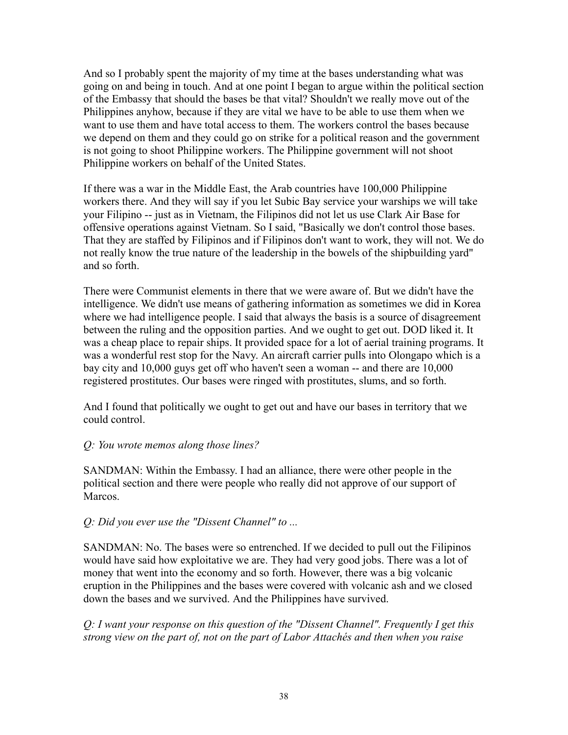And so I probably spent the majority of my time at the bases understanding what was going on and being in touch. And at one point I began to argue within the political section of the Embassy that should the bases be that vital? Shouldn't we really move out of the Philippines anyhow, because if they are vital we have to be able to use them when we want to use them and have total access to them. The workers control the bases because we depend on them and they could go on strike for a political reason and the government is not going to shoot Philippine workers. The Philippine government will not shoot Philippine workers on behalf of the United States.

If there was a war in the Middle East, the Arab countries have 100,000 Philippine workers there. And they will say if you let Subic Bay service your warships we will take your Filipino -- just as in Vietnam, the Filipinos did not let us use Clark Air Base for offensive operations against Vietnam. So I said, "Basically we don't control those bases. That they are staffed by Filipinos and if Filipinos don't want to work, they will not. We do not really know the true nature of the leadership in the bowels of the shipbuilding yard" and so forth.

There were Communist elements in there that we were aware of. But we didn't have the intelligence. We didn't use means of gathering information as sometimes we did in Korea where we had intelligence people. I said that always the basis is a source of disagreement between the ruling and the opposition parties. And we ought to get out. DOD liked it. It was a cheap place to repair ships. It provided space for a lot of aerial training programs. It was a wonderful rest stop for the Navy. An aircraft carrier pulls into Olongapo which is a bay city and 10,000 guys get off who haven't seen a woman -- and there are 10,000 registered prostitutes. Our bases were ringed with prostitutes, slums, and so forth.

And I found that politically we ought to get out and have our bases in territory that we could control.

# *Q: You wrote memos along those lines?*

SANDMAN: Within the Embassy. I had an alliance, there were other people in the political section and there were people who really did not approve of our support of Marcos.

# *Q: Did you ever use the "Dissent Channel" to ...*

SANDMAN: No. The bases were so entrenched. If we decided to pull out the Filipinos would have said how exploitative we are. They had very good jobs. There was a lot of money that went into the economy and so forth. However, there was a big volcanic eruption in the Philippines and the bases were covered with volcanic ash and we closed down the bases and we survived. And the Philippines have survived.

*Q: I want your response on this question of the "Dissent Channel". Frequently I get this strong view on the part of, not on the part of Labor Attachés and then when you raise*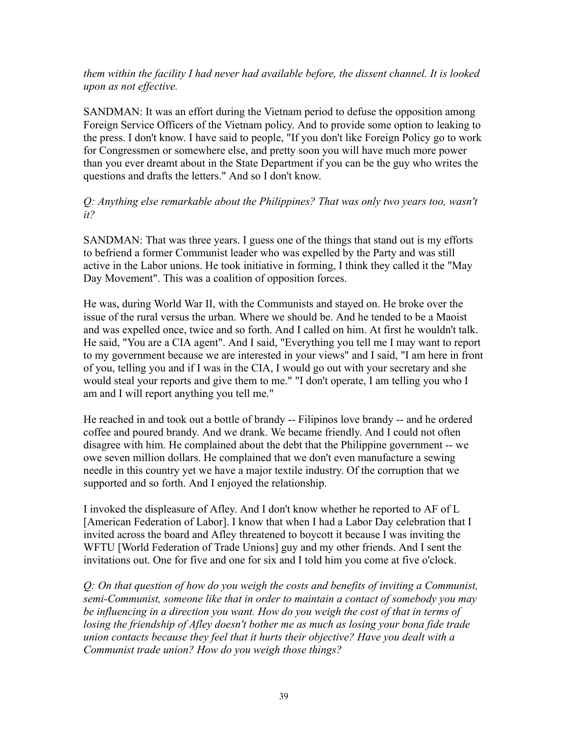#### *them within the facility I had never had available before, the dissent channel. It is looked upon as not effective.*

SANDMAN: It was an effort during the Vietnam period to defuse the opposition among Foreign Service Officers of the Vietnam policy. And to provide some option to leaking to the press. I don't know. I have said to people, "If you don't like Foreign Policy go to work for Congressmen or somewhere else, and pretty soon you will have much more power than you ever dreamt about in the State Department if you can be the guy who writes the questions and drafts the letters." And so I don't know.

#### *Q: Anything else remarkable about the Philippines? That was only two years too, wasn't it?*

SANDMAN: That was three years. I guess one of the things that stand out is my efforts to befriend a former Communist leader who was expelled by the Party and was still active in the Labor unions. He took initiative in forming, I think they called it the "May Day Movement". This was a coalition of opposition forces.

He was, during World War II, with the Communists and stayed on. He broke over the issue of the rural versus the urban. Where we should be. And he tended to be a Maoist and was expelled once, twice and so forth. And I called on him. At first he wouldn't talk. He said, "You are a CIA agent". And I said, "Everything you tell me I may want to report to my government because we are interested in your views" and I said, "I am here in front of you, telling you and if I was in the CIA, I would go out with your secretary and she would steal your reports and give them to me." "I don't operate, I am telling you who I am and I will report anything you tell me."

He reached in and took out a bottle of brandy -- Filipinos love brandy -- and he ordered coffee and poured brandy. And we drank. We became friendly. And I could not often disagree with him. He complained about the debt that the Philippine government -- we owe seven million dollars. He complained that we don't even manufacture a sewing needle in this country yet we have a major textile industry. Of the corruption that we supported and so forth. And I enjoyed the relationship.

I invoked the displeasure of Afley. And I don't know whether he reported to AF of L [American Federation of Labor]. I know that when I had a Labor Day celebration that I invited across the board and Afley threatened to boycott it because I was inviting the WFTU [World Federation of Trade Unions] guy and my other friends. And I sent the invitations out. One for five and one for six and I told him you come at five o'clock.

*Q: On that question of how do you weigh the costs and benefits of inviting a Communist, semi-Communist, someone like that in order to maintain a contact of somebody you may be influencing in a direction you want. How do you weigh the cost of that in terms of losing the friendship of Afley doesn't bother me as much as losing your bona fide trade union contacts because they feel that it hurts their objective? Have you dealt with a Communist trade union? How do you weigh those things?*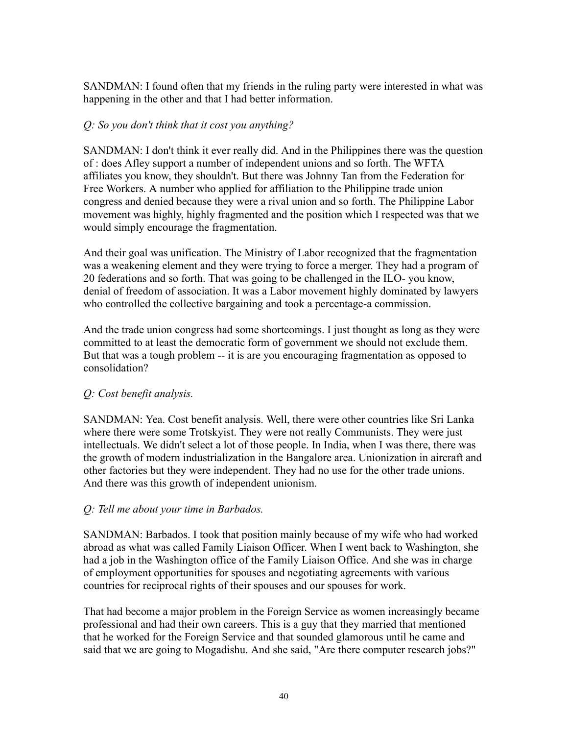SANDMAN: I found often that my friends in the ruling party were interested in what was happening in the other and that I had better information.

# *Q: So you don't think that it cost you anything?*

SANDMAN: I don't think it ever really did. And in the Philippines there was the question of : does Afley support a number of independent unions and so forth. The WFTA affiliates you know, they shouldn't. But there was Johnny Tan from the Federation for Free Workers. A number who applied for affiliation to the Philippine trade union congress and denied because they were a rival union and so forth. The Philippine Labor movement was highly, highly fragmented and the position which I respected was that we would simply encourage the fragmentation.

And their goal was unification. The Ministry of Labor recognized that the fragmentation was a weakening element and they were trying to force a merger. They had a program of 20 federations and so forth. That was going to be challenged in the ILO- you know, denial of freedom of association. It was a Labor movement highly dominated by lawyers who controlled the collective bargaining and took a percentage-a commission.

And the trade union congress had some shortcomings. I just thought as long as they were committed to at least the democratic form of government we should not exclude them. But that was a tough problem -- it is are you encouraging fragmentation as opposed to consolidation?

# *Q: Cost benefit analysis.*

SANDMAN: Yea. Cost benefit analysis. Well, there were other countries like Sri Lanka where there were some Trotskyist. They were not really Communists. They were just intellectuals. We didn't select a lot of those people. In India, when I was there, there was the growth of modern industrialization in the Bangalore area. Unionization in aircraft and other factories but they were independent. They had no use for the other trade unions. And there was this growth of independent unionism.

# *Q: Tell me about your time in Barbados.*

SANDMAN: Barbados. I took that position mainly because of my wife who had worked abroad as what was called Family Liaison Officer. When I went back to Washington, she had a job in the Washington office of the Family Liaison Office. And she was in charge of employment opportunities for spouses and negotiating agreements with various countries for reciprocal rights of their spouses and our spouses for work.

That had become a major problem in the Foreign Service as women increasingly became professional and had their own careers. This is a guy that they married that mentioned that he worked for the Foreign Service and that sounded glamorous until he came and said that we are going to Mogadishu. And she said, "Are there computer research jobs?"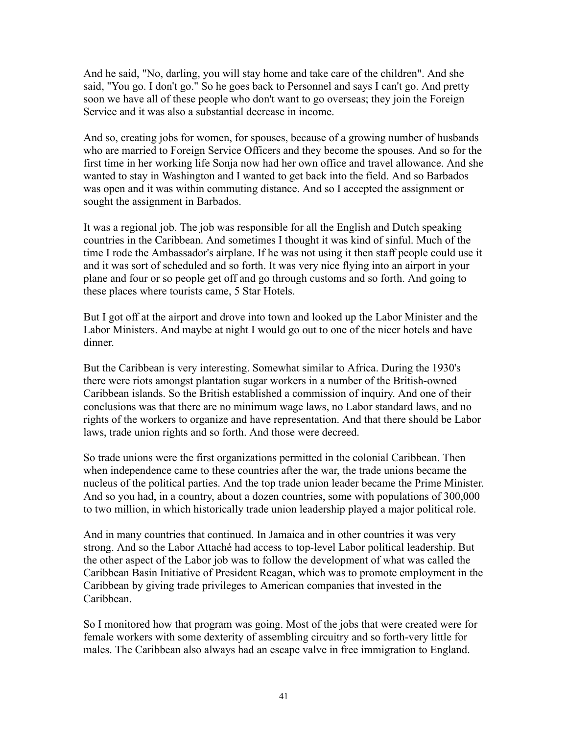And he said, "No, darling, you will stay home and take care of the children". And she said, "You go. I don't go." So he goes back to Personnel and says I can't go. And pretty soon we have all of these people who don't want to go overseas; they join the Foreign Service and it was also a substantial decrease in income.

And so, creating jobs for women, for spouses, because of a growing number of husbands who are married to Foreign Service Officers and they become the spouses. And so for the first time in her working life Sonja now had her own office and travel allowance. And she wanted to stay in Washington and I wanted to get back into the field. And so Barbados was open and it was within commuting distance. And so I accepted the assignment or sought the assignment in Barbados.

It was a regional job. The job was responsible for all the English and Dutch speaking countries in the Caribbean. And sometimes I thought it was kind of sinful. Much of the time I rode the Ambassador's airplane. If he was not using it then staff people could use it and it was sort of scheduled and so forth. It was very nice flying into an airport in your plane and four or so people get off and go through customs and so forth. And going to these places where tourists came, 5 Star Hotels.

But I got off at the airport and drove into town and looked up the Labor Minister and the Labor Ministers. And maybe at night I would go out to one of the nicer hotels and have dinner.

But the Caribbean is very interesting. Somewhat similar to Africa. During the 1930's there were riots amongst plantation sugar workers in a number of the British-owned Caribbean islands. So the British established a commission of inquiry. And one of their conclusions was that there are no minimum wage laws, no Labor standard laws, and no rights of the workers to organize and have representation. And that there should be Labor laws, trade union rights and so forth. And those were decreed.

So trade unions were the first organizations permitted in the colonial Caribbean. Then when independence came to these countries after the war, the trade unions became the nucleus of the political parties. And the top trade union leader became the Prime Minister. And so you had, in a country, about a dozen countries, some with populations of 300,000 to two million, in which historically trade union leadership played a major political role.

And in many countries that continued. In Jamaica and in other countries it was very strong. And so the Labor Attaché had access to top-level Labor political leadership. But the other aspect of the Labor job was to follow the development of what was called the Caribbean Basin Initiative of President Reagan, which was to promote employment in the Caribbean by giving trade privileges to American companies that invested in the Caribbean.

So I monitored how that program was going. Most of the jobs that were created were for female workers with some dexterity of assembling circuitry and so forth-very little for males. The Caribbean also always had an escape valve in free immigration to England.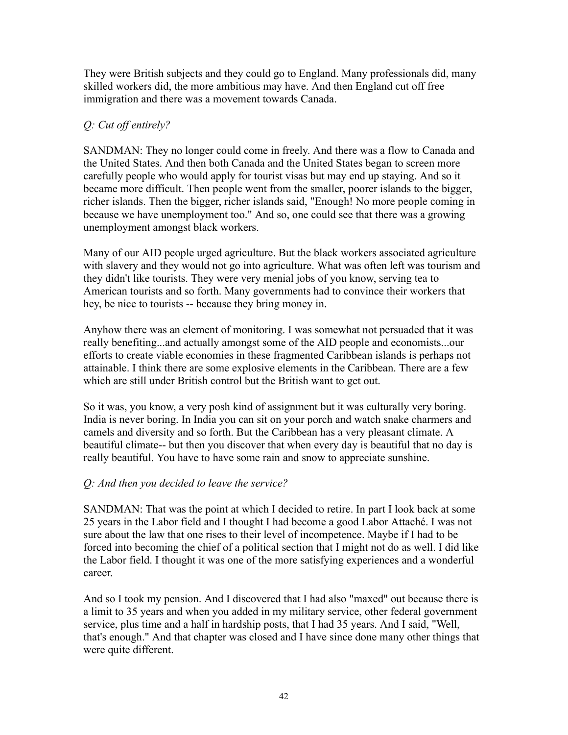They were British subjects and they could go to England. Many professionals did, many skilled workers did, the more ambitious may have. And then England cut off free immigration and there was a movement towards Canada.

# *Q: Cut off entirely?*

SANDMAN: They no longer could come in freely. And there was a flow to Canada and the United States. And then both Canada and the United States began to screen more carefully people who would apply for tourist visas but may end up staying. And so it became more difficult. Then people went from the smaller, poorer islands to the bigger, richer islands. Then the bigger, richer islands said, "Enough! No more people coming in because we have unemployment too." And so, one could see that there was a growing unemployment amongst black workers.

Many of our AID people urged agriculture. But the black workers associated agriculture with slavery and they would not go into agriculture. What was often left was tourism and they didn't like tourists. They were very menial jobs of you know, serving tea to American tourists and so forth. Many governments had to convince their workers that hey, be nice to tourists -- because they bring money in.

Anyhow there was an element of monitoring. I was somewhat not persuaded that it was really benefiting...and actually amongst some of the AID people and economists...our efforts to create viable economies in these fragmented Caribbean islands is perhaps not attainable. I think there are some explosive elements in the Caribbean. There are a few which are still under British control but the British want to get out.

So it was, you know, a very posh kind of assignment but it was culturally very boring. India is never boring. In India you can sit on your porch and watch snake charmers and camels and diversity and so forth. But the Caribbean has a very pleasant climate. A beautiful climate-- but then you discover that when every day is beautiful that no day is really beautiful. You have to have some rain and snow to appreciate sunshine.

# *Q: And then you decided to leave the service?*

SANDMAN: That was the point at which I decided to retire. In part I look back at some 25 years in the Labor field and I thought I had become a good Labor Attaché. I was not sure about the law that one rises to their level of incompetence. Maybe if I had to be forced into becoming the chief of a political section that I might not do as well. I did like the Labor field. I thought it was one of the more satisfying experiences and a wonderful career.

And so I took my pension. And I discovered that I had also "maxed" out because there is a limit to 35 years and when you added in my military service, other federal government service, plus time and a half in hardship posts, that I had 35 years. And I said, "Well, that's enough." And that chapter was closed and I have since done many other things that were quite different.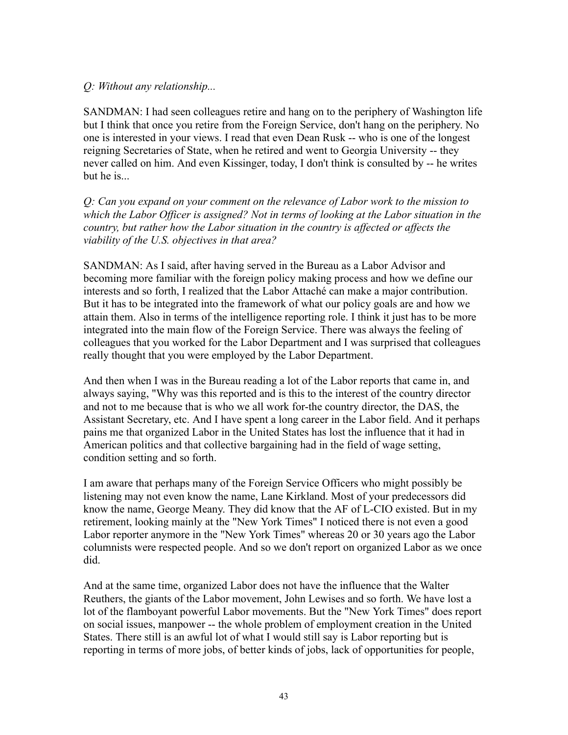#### *Q: Without any relationship...*

SANDMAN: I had seen colleagues retire and hang on to the periphery of Washington life but I think that once you retire from the Foreign Service, don't hang on the periphery. No one is interested in your views. I read that even Dean Rusk -- who is one of the longest reigning Secretaries of State, when he retired and went to Georgia University -- they never called on him. And even Kissinger, today, I don't think is consulted by -- he writes but he is...

*Q: Can you expand on your comment on the relevance of Labor work to the mission to which the Labor Officer is assigned? Not in terms of looking at the Labor situation in the country, but rather how the Labor situation in the country is affected or affects the viability of the U.S. objectives in that area?*

SANDMAN: As I said, after having served in the Bureau as a Labor Advisor and becoming more familiar with the foreign policy making process and how we define our interests and so forth, I realized that the Labor Attaché can make a major contribution. But it has to be integrated into the framework of what our policy goals are and how we attain them. Also in terms of the intelligence reporting role. I think it just has to be more integrated into the main flow of the Foreign Service. There was always the feeling of colleagues that you worked for the Labor Department and I was surprised that colleagues really thought that you were employed by the Labor Department.

And then when I was in the Bureau reading a lot of the Labor reports that came in, and always saying, "Why was this reported and is this to the interest of the country director and not to me because that is who we all work for-the country director, the DAS, the Assistant Secretary, etc. And I have spent a long career in the Labor field. And it perhaps pains me that organized Labor in the United States has lost the influence that it had in American politics and that collective bargaining had in the field of wage setting, condition setting and so forth.

I am aware that perhaps many of the Foreign Service Officers who might possibly be listening may not even know the name, Lane Kirkland. Most of your predecessors did know the name, George Meany. They did know that the AF of L-CIO existed. But in my retirement, looking mainly at the "New York Times" I noticed there is not even a good Labor reporter anymore in the "New York Times" whereas 20 or 30 years ago the Labor columnists were respected people. And so we don't report on organized Labor as we once did.

And at the same time, organized Labor does not have the influence that the Walter Reuthers, the giants of the Labor movement, John Lewises and so forth. We have lost a lot of the flamboyant powerful Labor movements. But the "New York Times" does report on social issues, manpower -- the whole problem of employment creation in the United States. There still is an awful lot of what I would still say is Labor reporting but is reporting in terms of more jobs, of better kinds of jobs, lack of opportunities for people,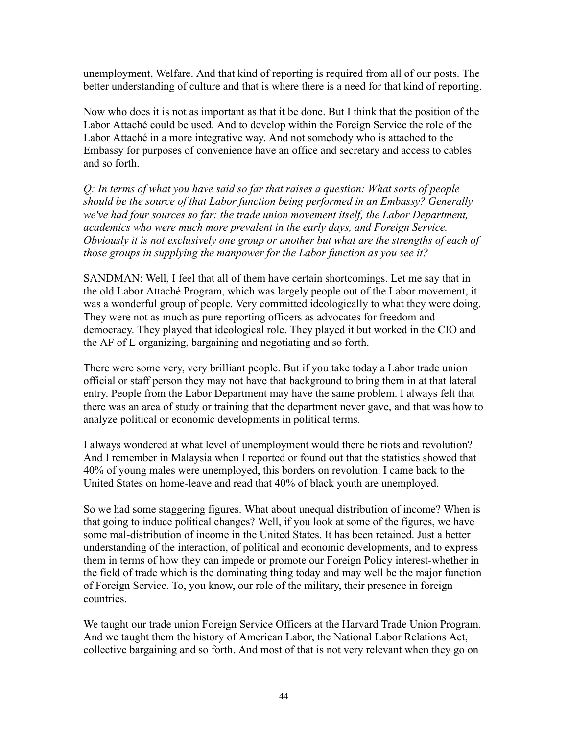unemployment, Welfare. And that kind of reporting is required from all of our posts. The better understanding of culture and that is where there is a need for that kind of reporting.

Now who does it is not as important as that it be done. But I think that the position of the Labor Attaché could be used. And to develop within the Foreign Service the role of the Labor Attaché in a more integrative way. And not somebody who is attached to the Embassy for purposes of convenience have an office and secretary and access to cables and so forth.

*Q: In terms of what you have said so far that raises a question: What sorts of people should be the source of that Labor function being performed in an Embassy? Generally we've had four sources so far: the trade union movement itself, the Labor Department, academics who were much more prevalent in the early days, and Foreign Service. Obviously it is not exclusively one group or another but what are the strengths of each of those groups in supplying the manpower for the Labor function as you see it?*

SANDMAN: Well, I feel that all of them have certain shortcomings. Let me say that in the old Labor Attaché Program, which was largely people out of the Labor movement, it was a wonderful group of people. Very committed ideologically to what they were doing. They were not as much as pure reporting officers as advocates for freedom and democracy. They played that ideological role. They played it but worked in the CIO and the AF of L organizing, bargaining and negotiating and so forth.

There were some very, very brilliant people. But if you take today a Labor trade union official or staff person they may not have that background to bring them in at that lateral entry. People from the Labor Department may have the same problem. I always felt that there was an area of study or training that the department never gave, and that was how to analyze political or economic developments in political terms.

I always wondered at what level of unemployment would there be riots and revolution? And I remember in Malaysia when I reported or found out that the statistics showed that 40% of young males were unemployed, this borders on revolution. I came back to the United States on home-leave and read that 40% of black youth are unemployed.

So we had some staggering figures. What about unequal distribution of income? When is that going to induce political changes? Well, if you look at some of the figures, we have some mal-distribution of income in the United States. It has been retained. Just a better understanding of the interaction, of political and economic developments, and to express them in terms of how they can impede or promote our Foreign Policy interest-whether in the field of trade which is the dominating thing today and may well be the major function of Foreign Service. To, you know, our role of the military, their presence in foreign countries.

We taught our trade union Foreign Service Officers at the Harvard Trade Union Program. And we taught them the history of American Labor, the National Labor Relations Act, collective bargaining and so forth. And most of that is not very relevant when they go on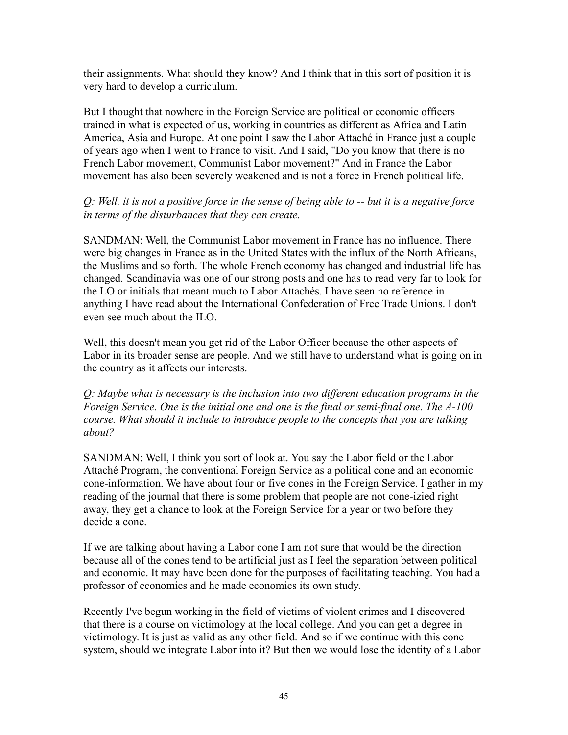their assignments. What should they know? And I think that in this sort of position it is very hard to develop a curriculum.

But I thought that nowhere in the Foreign Service are political or economic officers trained in what is expected of us, working in countries as different as Africa and Latin America, Asia and Europe. At one point I saw the Labor Attaché in France just a couple of years ago when I went to France to visit. And I said, "Do you know that there is no French Labor movement, Communist Labor movement?" And in France the Labor movement has also been severely weakened and is not a force in French political life.

#### *Q: Well, it is not a positive force in the sense of being able to -- but it is a negative force in terms of the disturbances that they can create.*

SANDMAN: Well, the Communist Labor movement in France has no influence. There were big changes in France as in the United States with the influx of the North Africans, the Muslims and so forth. The whole French economy has changed and industrial life has changed. Scandinavia was one of our strong posts and one has to read very far to look for the LO or initials that meant much to Labor Attachés. I have seen no reference in anything I have read about the International Confederation of Free Trade Unions. I don't even see much about the ILO.

Well, this doesn't mean you get rid of the Labor Officer because the other aspects of Labor in its broader sense are people. And we still have to understand what is going on in the country as it affects our interests.

*Q: Maybe what is necessary is the inclusion into two different education programs in the Foreign Service. One is the initial one and one is the final or semi-final one. The A-100 course. What should it include to introduce people to the concepts that you are talking about?*

SANDMAN: Well, I think you sort of look at. You say the Labor field or the Labor Attaché Program, the conventional Foreign Service as a political cone and an economic cone-information. We have about four or five cones in the Foreign Service. I gather in my reading of the journal that there is some problem that people are not cone-izied right away, they get a chance to look at the Foreign Service for a year or two before they decide a cone.

If we are talking about having a Labor cone I am not sure that would be the direction because all of the cones tend to be artificial just as I feel the separation between political and economic. It may have been done for the purposes of facilitating teaching. You had a professor of economics and he made economics its own study.

Recently I've begun working in the field of victims of violent crimes and I discovered that there is a course on victimology at the local college. And you can get a degree in victimology. It is just as valid as any other field. And so if we continue with this cone system, should we integrate Labor into it? But then we would lose the identity of a Labor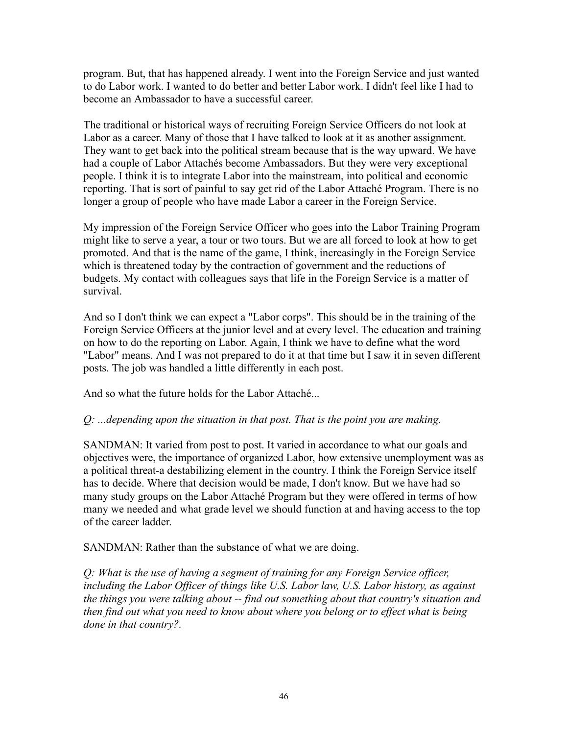program. But, that has happened already. I went into the Foreign Service and just wanted to do Labor work. I wanted to do better and better Labor work. I didn't feel like I had to become an Ambassador to have a successful career.

The traditional or historical ways of recruiting Foreign Service Officers do not look at Labor as a career. Many of those that I have talked to look at it as another assignment. They want to get back into the political stream because that is the way upward. We have had a couple of Labor Attachés become Ambassadors. But they were very exceptional people. I think it is to integrate Labor into the mainstream, into political and economic reporting. That is sort of painful to say get rid of the Labor Attaché Program. There is no longer a group of people who have made Labor a career in the Foreign Service.

My impression of the Foreign Service Officer who goes into the Labor Training Program might like to serve a year, a tour or two tours. But we are all forced to look at how to get promoted. And that is the name of the game, I think, increasingly in the Foreign Service which is threatened today by the contraction of government and the reductions of budgets. My contact with colleagues says that life in the Foreign Service is a matter of survival.

And so I don't think we can expect a "Labor corps". This should be in the training of the Foreign Service Officers at the junior level and at every level. The education and training on how to do the reporting on Labor. Again, I think we have to define what the word "Labor" means. And I was not prepared to do it at that time but I saw it in seven different posts. The job was handled a little differently in each post.

And so what the future holds for the Labor Attaché...

# *Q: ...depending upon the situation in that post. That is the point you are making.*

SANDMAN: It varied from post to post. It varied in accordance to what our goals and objectives were, the importance of organized Labor, how extensive unemployment was as a political threat-a destabilizing element in the country. I think the Foreign Service itself has to decide. Where that decision would be made, I don't know. But we have had so many study groups on the Labor Attaché Program but they were offered in terms of how many we needed and what grade level we should function at and having access to the top of the career ladder.

SANDMAN: Rather than the substance of what we are doing.

*Q: What is the use of having a segment of training for any Foreign Service officer, including the Labor Officer of things like U.S. Labor law, U.S. Labor history, as against the things you were talking about -- find out something about that country's situation and then find out what you need to know about where you belong or to effect what is being done in that country?.*